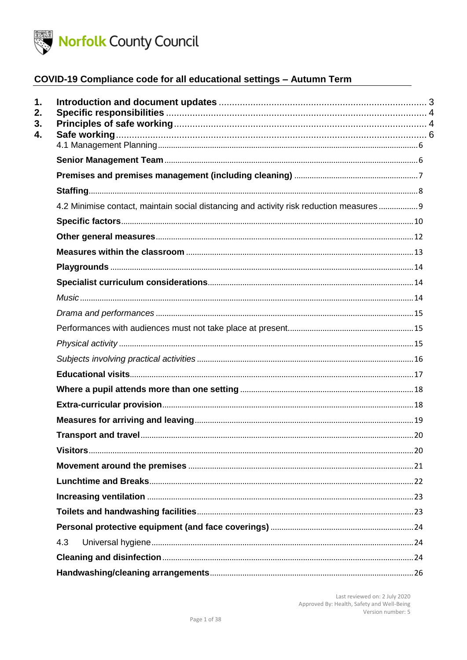

| 1.<br>2.<br>3.<br>4. |                                                                                          |  |
|----------------------|------------------------------------------------------------------------------------------|--|
|                      |                                                                                          |  |
|                      |                                                                                          |  |
|                      |                                                                                          |  |
|                      |                                                                                          |  |
|                      | 4.2 Minimise contact, maintain social distancing and activity risk reduction measures  9 |  |
|                      |                                                                                          |  |
|                      |                                                                                          |  |
|                      |                                                                                          |  |
|                      |                                                                                          |  |
|                      |                                                                                          |  |
|                      |                                                                                          |  |
|                      |                                                                                          |  |
|                      |                                                                                          |  |
|                      |                                                                                          |  |
|                      |                                                                                          |  |
|                      |                                                                                          |  |
|                      |                                                                                          |  |
|                      |                                                                                          |  |
|                      |                                                                                          |  |
|                      |                                                                                          |  |
|                      |                                                                                          |  |
|                      |                                                                                          |  |
|                      |                                                                                          |  |
|                      |                                                                                          |  |
|                      |                                                                                          |  |
|                      |                                                                                          |  |
|                      | 4.3                                                                                      |  |
|                      |                                                                                          |  |
|                      |                                                                                          |  |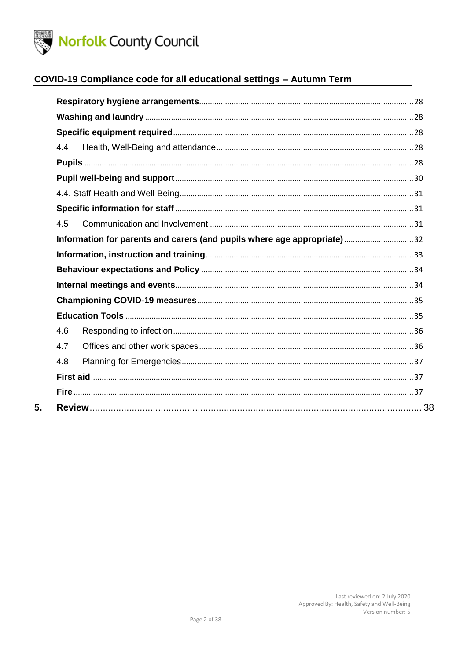

5.

# COVID-19 Compliance code for all educational settings - Autumn Term

| 4.4                                                                     |  |  |  |  |
|-------------------------------------------------------------------------|--|--|--|--|
|                                                                         |  |  |  |  |
|                                                                         |  |  |  |  |
|                                                                         |  |  |  |  |
|                                                                         |  |  |  |  |
| 4.5                                                                     |  |  |  |  |
| Information for parents and carers (and pupils where age appropriate)32 |  |  |  |  |
|                                                                         |  |  |  |  |
|                                                                         |  |  |  |  |
|                                                                         |  |  |  |  |
|                                                                         |  |  |  |  |
|                                                                         |  |  |  |  |
| 4.6                                                                     |  |  |  |  |
| 4.7                                                                     |  |  |  |  |
| 4.8                                                                     |  |  |  |  |
|                                                                         |  |  |  |  |
|                                                                         |  |  |  |  |
|                                                                         |  |  |  |  |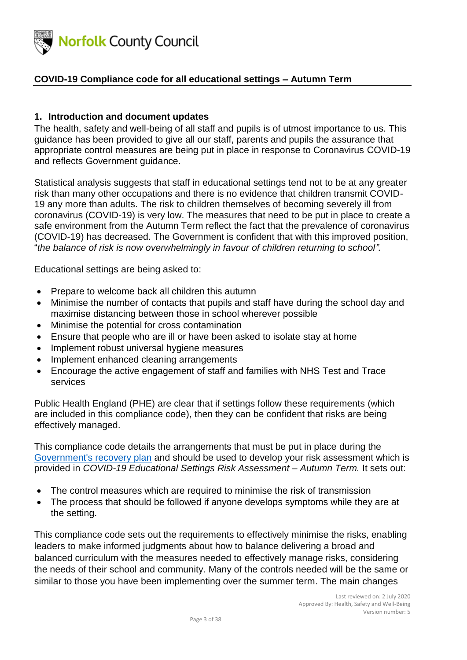

### <span id="page-2-0"></span>**1. Introduction and document updates**

The health, safety and well-being of all staff and pupils is of utmost importance to us. This guidance has been provided to give all our staff, parents and pupils the assurance that appropriate control measures are being put in place in response to Coronavirus COVID-19 and reflects Government guidance.

Statistical analysis suggests that staff in educational settings tend not to be at any greater risk than many other occupations and there is no evidence that children transmit COVID-19 any more than adults. The risk to children themselves of becoming severely ill from coronavirus (COVID-19) is very low. The measures that need to be put in place to create a safe environment from the Autumn Term reflect the fact that the prevalence of coronavirus (COVID-19) has decreased. The Government is confident that with this improved position, "*the balance of risk is now overwhelmingly in favour of children returning to school".*

Educational settings are being asked to:

- Prepare to welcome back all children this autumn
- Minimise the number of contacts that pupils and staff have during the school day and maximise distancing between those in school wherever possible
- Minimise the potential for cross contamination
- Ensure that people who are ill or have been asked to isolate stay at home
- Implement robust universal hygiene measures
- Implement enhanced cleaning arrangements
- Encourage the active engagement of staff and families with NHS Test and Trace services

Public Health England (PHE) are clear that if settings follow these requirements (which are included in this compliance code), then they can be confident that risks are being effectively managed.

This compliance code details the arrangements that must be put in place during the [Government's recovery plan](https://www.gov.uk/government/publications/our-plan-to-rebuild-the-uk-governments-covid-19-recovery-strategy/our-plan-to-rebuild-the-uk-governments-covid-19-recovery-strategy) and should be used to develop your risk assessment which is provided in *COVID-19 Educational Settings Risk Assessment – Autumn Term.* It sets out:

- The control measures which are required to minimise the risk of transmission
- The process that should be followed if anyone develops symptoms while they are at the setting.

This compliance code sets out the requirements to effectively minimise the risks, enabling leaders to make informed judgments about how to balance delivering a broad and balanced curriculum with the measures needed to effectively manage risks, considering the needs of their school and community. Many of the controls needed will be the same or similar to those you have been implementing over the summer term. The main changes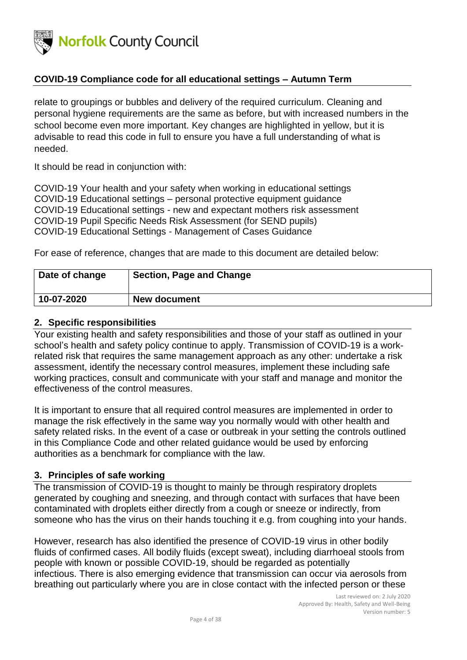

relate to groupings or bubbles and delivery of the required curriculum. Cleaning and personal hygiene requirements are the same as before, but with increased numbers in the school become even more important. Key changes are highlighted in yellow, but it is advisable to read this code in full to ensure you have a full understanding of what is needed.

It should be read in conjunction with:

COVID-19 Your health and your safety when working in educational settings COVID-19 Educational settings – personal protective equipment guidance COVID-19 Educational settings - new and expectant mothers risk assessment COVID-19 Pupil Specific Needs Risk Assessment (for SEND pupils) COVID-19 Educational Settings - Management of Cases Guidance

For ease of reference, changes that are made to this document are detailed below:

| Date of change | <b>Section, Page and Change</b> |
|----------------|---------------------------------|
| 10-07-2020     | <b>New document</b>             |

#### <span id="page-3-0"></span>**2. Specific responsibilities**

Your existing health and safety responsibilities and those of your staff as outlined in your school's health and safety policy continue to apply. Transmission of COVID-19 is a workrelated risk that requires the same management approach as any other: undertake a risk assessment, identify the necessary control measures, implement these including safe working practices, consult and communicate with your staff and manage and monitor the effectiveness of the control measures.

It is important to ensure that all required control measures are implemented in order to manage the risk effectively in the same way you normally would with other health and safety related risks. In the event of a case or outbreak in your setting the controls outlined in this Compliance Code and other related guidance would be used by enforcing authorities as a benchmark for compliance with the law.

#### <span id="page-3-1"></span>**3. Principles of safe working**

The transmission of COVID-19 is thought to mainly be through respiratory droplets generated by coughing and sneezing, and through contact with surfaces that have been contaminated with droplets either directly from a cough or sneeze or indirectly, from someone who has the virus on their hands touching it e.g. from coughing into your hands.

However, research has also identified the presence of COVID-19 virus in other bodily fluids of confirmed cases. All bodily fluids (except sweat), including diarrhoeal stools from people with known or possible COVID-19, should be regarded as potentially infectious. There is also emerging evidence that transmission can occur via aerosols from breathing out particularly where you are in close contact with the infected person or these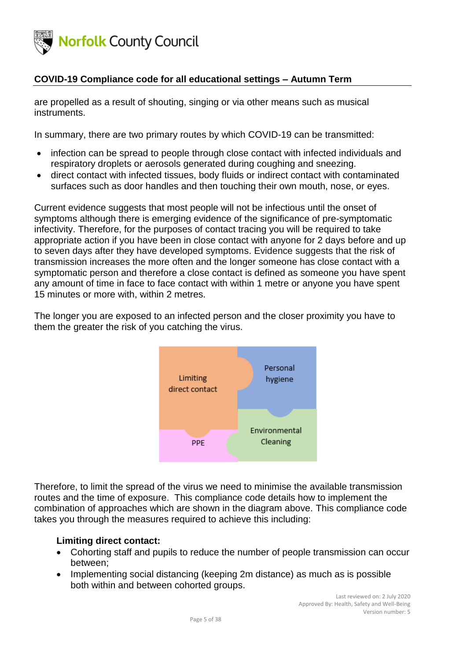

are propelled as a result of shouting, singing or via other means such as musical instruments.

In summary, there are two primary routes by which COVID-19 can be transmitted:

- infection can be spread to people through close contact with infected individuals and respiratory droplets or aerosols generated during coughing and sneezing.
- direct contact with infected tissues, body fluids or indirect contact with contaminated surfaces such as door handles and then touching their own mouth, nose, or eyes.

Current evidence suggests that most people will not be infectious until the onset of symptoms although there is emerging evidence of the significance of pre-symptomatic infectivity. Therefore, for the purposes of contact tracing you will be required to take appropriate action if you have been in close contact with anyone for 2 days before and up to seven days after they have developed symptoms. Evidence suggests that the risk of transmission increases the more often and the longer someone has close contact with a symptomatic person and therefore a close contact is defined as someone you have spent any amount of time in face to face contact with within 1 metre or anyone you have spent 15 minutes or more with, within 2 metres.

The longer you are exposed to an infected person and the closer proximity you have to them the greater the risk of you catching the virus.



Therefore, to limit the spread of the virus we need to minimise the available transmission routes and the time of exposure. This compliance code details how to implement the combination of approaches which are shown in the diagram above. This compliance code takes you through the measures required to achieve this including:

#### **Limiting direct contact:**

- Cohorting staff and pupils to reduce the number of people transmission can occur between;
- Implementing social distancing (keeping 2m distance) as much as is possible both within and between cohorted groups.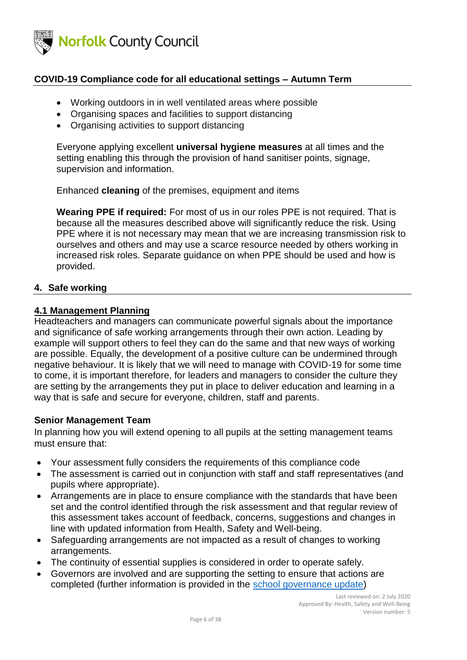

- Working outdoors in in well ventilated areas where possible
- Organising spaces and facilities to support distancing
- Organising activities to support distancing

Everyone applying excellent **universal hygiene measures** at all times and the setting enabling this through the provision of hand sanitiser points, signage, supervision and information.

Enhanced **cleaning** of the premises, equipment and items

**Wearing PPE if required:** For most of us in our roles PPE is not required. That is because all the measures described above will significantly reduce the risk. Using PPE where it is not necessary may mean that we are increasing transmission risk to ourselves and others and may use a scarce resource needed by others working in increased risk roles. Separate guidance on when PPE should be used and how is provided.

#### <span id="page-5-0"></span>**4. Safe working**

#### <span id="page-5-1"></span>**4.1 Management Planning**

Headteachers and managers can communicate powerful signals about the importance and significance of safe working arrangements through their own action. Leading by example will support others to feel they can do the same and that new ways of working are possible. Equally, the development of a positive culture can be undermined through negative behaviour. It is likely that we will need to manage with COVID-19 for some time to come, it is important therefore, for leaders and managers to consider the culture they are setting by the arrangements they put in place to deliver education and learning in a way that is safe and secure for everyone, children, staff and parents.

#### <span id="page-5-2"></span>**Senior Management Team**

In planning how you will extend opening to all pupils at the setting management teams must ensure that:

- Your assessment fully considers the requirements of this compliance code
- The assessment is carried out in conjunction with staff and staff representatives (and pupils where appropriate).
- Arrangements are in place to ensure compliance with the standards that have been set and the control identified through the risk assessment and that regular review of this assessment takes account of feedback, concerns, suggestions and changes in line with updated information from Health, Safety and Well-being.
- Safeguarding arrangements are not impacted as a result of changes to working arrangements.
- The continuity of essential supplies is considered in order to operate safely.
- Governors are involved and are supporting the setting to ensure that actions are completed (further information is provided in the [school governance update\)](https://www.gov.uk/government/publications/school-governance-update?utm_source=a9d22f60-310d-42f0-82ad-e0a481291e09&utm_medium=email&utm_campaign=govuk-notifications&utm_content=immediate)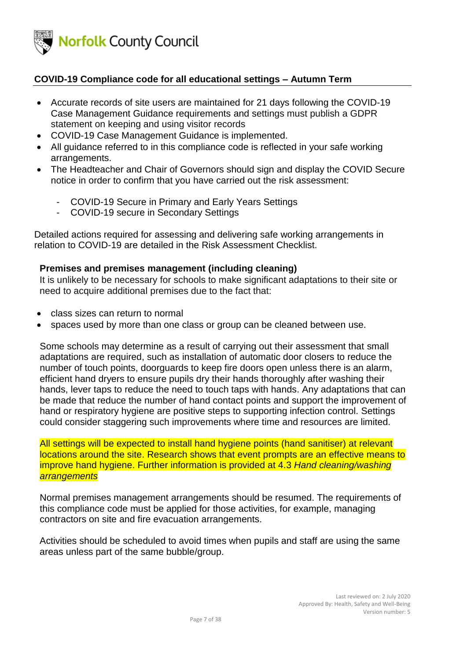

- Accurate records of site users are maintained for 21 days following the COVID-19 Case Management Guidance requirements and settings must publish a GDPR statement on keeping and using visitor records
- COVID-19 Case Management Guidance is implemented.
- All guidance referred to in this compliance code is reflected in your safe working arrangements.
- The Headteacher and Chair of Governors should sign and display the COVID Secure notice in order to confirm that you have carried out the risk assessment:
	- COVID-19 Secure in Primary and Early Years Settings
	- COVID-19 secure in Secondary Settings

Detailed actions required for assessing and delivering safe working arrangements in relation to COVID-19 are detailed in the Risk Assessment Checklist.

#### <span id="page-6-0"></span>**Premises and premises management (including cleaning)**

It is unlikely to be necessary for schools to make significant adaptations to their site or need to acquire additional premises due to the fact that:

- class sizes can return to normal
- spaces used by more than one class or group can be cleaned between use.

Some schools may determine as a result of carrying out their assessment that small adaptations are required, such as installation of automatic door closers to reduce the number of touch points, doorguards to keep fire doors open unless there is an alarm, efficient hand dryers to ensure pupils dry their hands thoroughly after washing their hands, lever taps to reduce the need to touch taps with hands. Any adaptations that can be made that reduce the number of hand contact points and support the improvement of hand or respiratory hygiene are positive steps to supporting infection control. Settings could consider staggering such improvements where time and resources are limited.

All settings will be expected to install hand hygiene points (hand sanitiser) at relevant locations around the site. Research shows that event prompts are an effective means to improve hand hygiene. Further information is provided at 4.3 *Hand cleaning/washing arrangements*

Normal premises management arrangements should be resumed. The requirements of this compliance code must be applied for those activities, for example, managing contractors on site and fire evacuation arrangements.

Activities should be scheduled to avoid times when pupils and staff are using the same areas unless part of the same bubble/group.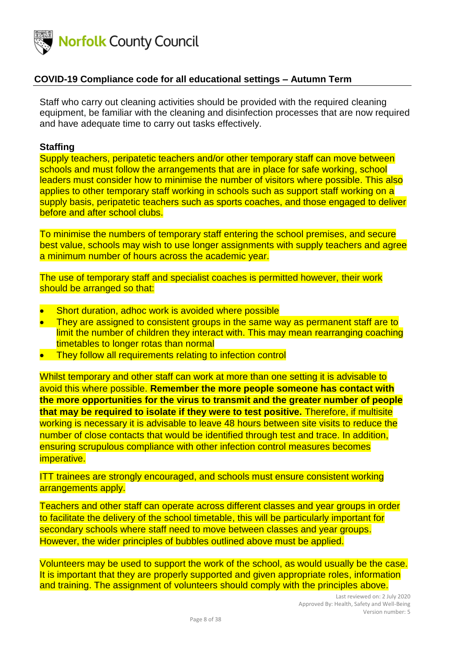

Staff who carry out cleaning activities should be provided with the required cleaning equipment, be familiar with the cleaning and disinfection processes that are now required and have adequate time to carry out tasks effectively.

#### <span id="page-7-0"></span>**Staffing**

Supply teachers, peripatetic teachers and/or other temporary staff can move between schools and must follow the arrangements that are in place for safe working, school leaders must consider how to minimise the number of visitors where possible. This also applies to other temporary staff working in schools such as support staff working on a supply basis, peripatetic teachers such as sports coaches, and those engaged to deliver before and after school clubs.

To minimise the numbers of temporary staff entering the school premises, and secure best value, schools may wish to use longer assignments with supply teachers and agree a minimum number of hours across the academic year.

The use of temporary staff and specialist coaches is permitted however, their work should be arranged so that:

- Short duration, adhoc work is avoided where possible
- They are assigned to consistent groups in the same way as permanent staff are to limit the number of children they interact with. This may mean rearranging coaching timetables to longer rotas than normal
- They follow all requirements relating to infection control

Whilst temporary and other staff can work at more than one setting it is advisable to avoid this where possible. **Remember the more people someone has contact with the more opportunities for the virus to transmit and the greater number of people that may be required to isolate if they were to test positive.** Therefore, if multisite working is necessary it is advisable to leave 48 hours between site visits to reduce the number of close contacts that would be identified through test and trace. In addition, ensuring scrupulous compliance with other infection control measures becomes imperative.

ITT trainees are strongly encouraged, and schools must ensure consistent working arrangements apply.

Teachers and other staff can operate across different classes and year groups in order to facilitate the delivery of the school timetable, this will be particularly important for secondary schools where staff need to move between classes and year groups. However, the wider principles of bubbles outlined above must be applied.

Volunteers may be used to support the work of the school, as would usually be the case. It is important that they are properly supported and given appropriate roles, information and training. The assignment of volunteers should comply with the principles above.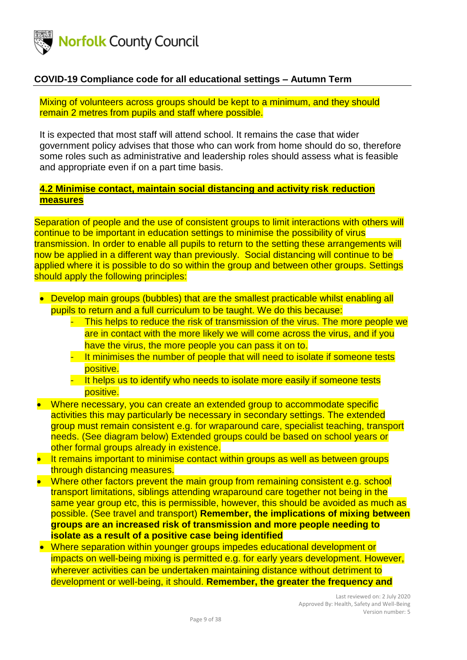

Mixing of volunteers across groups should be kept to a minimum, and they should remain 2 metres from pupils and staff where possible.

It is expected that most staff will attend school. It remains the case that wider government policy advises that those who can work from home should do so, therefore some roles such as administrative and leadership roles should assess what is feasible and appropriate even if on a part time basis.

### <span id="page-8-0"></span>**4.2 Minimise contact, maintain social distancing and activity risk reduction measures**

Separation of people and the use of consistent groups to limit interactions with others will continue to be important in education settings to minimise the possibility of virus transmission. In order to enable all pupils to return to the setting these arrangements will now be applied in a different way than previously. Social distancing will continue to be applied where it is possible to do so within the group and between other groups. Settings should apply the following principles:

- Develop main groups (bubbles) that are the smallest practicable whilst enabling all pupils to return and a full curriculum to be taught. We do this because:
	- This helps to reduce the risk of transmission of the virus. The more people we are in contact with the more likely we will come across the virus, and if you have the virus, the more people you can pass it on to.
	- It minimises the number of people that will need to isolate if someone tests positive.
	- It helps us to identify who needs to isolate more easily if someone tests positive.
- Where necessary, you can create an extended group to accommodate specific activities this may particularly be necessary in secondary settings. The extended group must remain consistent e.g. for wraparound care, specialist teaching, transport needs. (See diagram below) Extended groups could be based on school years or other formal groups already in existence.
- It remains important to minimise contact within groups as well as between groups through distancing measures.
- Where other factors prevent the main group from remaining consistent e.g. school transport limitations, siblings attending wraparound care together not being in the same year group etc, this is permissible, however, this should be avoided as much as possible. (See travel and transport) **Remember, the implications of mixing between groups are an increased risk of transmission and more people needing to isolate as a result of a positive case being identified**
- Where separation within younger groups impedes educational development or impacts on well-being mixing is permitted e.g. for early years development. However, wherever activities can be undertaken maintaining distance without detriment to development or well-being, it should. **Remember, the greater the frequency and**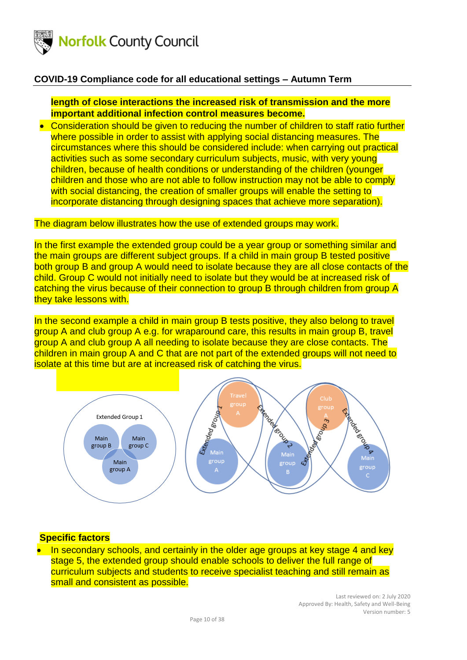

### **length of close interactions the increased risk of transmission and the more important additional infection control measures become.**

• Consideration should be given to reducing the number of children to staff ratio further where possible in order to assist with applying social distancing measures. The circumstances where this should be considered include: when carrying out practical activities such as some secondary curriculum subjects, music, with very young children, because of health conditions or understanding of the children (younger children and those who are not able to follow instruction may not be able to comply with social distancing, the creation of smaller groups will enable the setting to incorporate distancing through designing spaces that achieve more separation).

### The diagram below illustrates how the use of extended groups may work.

In the first example the extended group could be a year group or something similar and the main groups are different subject groups. If a child in main group B tested positive both group B and group A would need to isolate because they are all close contacts of the child. Group C would not initially need to isolate but they would be at increased risk of catching the virus because of their connection to group B through children from group A they take lessons with.

In the second example a child in main group B tests positive, they also belong to travel group A and club group A e.g. for wraparound care, this results in main group B, travel group A and club group A all needing to isolate because they are close contacts. The children in main group A and C that are not part of the extended groups will not need to isolate at this time but are at increased risk of catching the virus.



### <span id="page-9-0"></span>**Specific factors**

• In secondary schools, and certainly in the older age groups at key stage 4 and key stage 5, the extended group should enable schools to deliver the full range of curriculum subjects and students to receive specialist teaching and still remain as small and consistent as possible.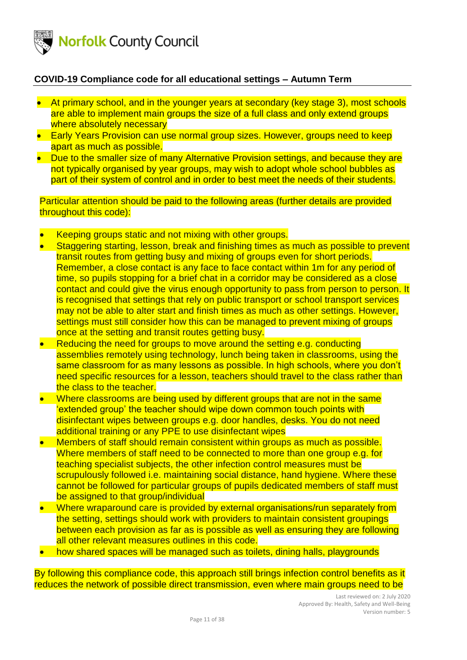

- At primary school, and in the younger years at secondary (key stage 3), most schools are able to implement main groups the size of a full class and only extend groups where absolutely necessary
- Early Years Provision can use normal group sizes. However, groups need to keep apart as much as possible.
- Due to the smaller size of many Alternative Provision settings, and because they are not typically organised by year groups, may wish to adopt whole school bubbles as part of their system of control and in order to best meet the needs of their students.

Particular attention should be paid to the following areas (further details are provided throughout this code):

- Keeping groups static and not mixing with other groups.
- Staggering starting, lesson, break and finishing times as much as possible to prevent transit routes from getting busy and mixing of groups even for short periods. Remember, a close contact is any face to face contact within 1m for any period of time, so pupils stopping for a brief chat in a corridor may be considered as a close contact and could give the virus enough opportunity to pass from person to person. It is recognised that settings that rely on public transport or school transport services may not be able to alter start and finish times as much as other settings. However, settings must still consider how this can be managed to prevent mixing of groups once at the setting and transit routes getting busy.
- Reducing the need for groups to move around the setting e.g. conducting assemblies remotely using technology, lunch being taken in classrooms, using the same classroom for as many lessons as possible. In high schools, where you don't need specific resources for a lesson, teachers should travel to the class rather than the class to the teacher.
- Where classrooms are being used by different groups that are not in the same 'extended group' the teacher should wipe down common touch points with disinfectant wipes between groups e.g. door handles, desks. You do not need additional training or any PPE to use disinfectant wipes
- Members of staff should remain consistent within groups as much as possible. Where members of staff need to be connected to more than one group e.g. for teaching specialist subjects, the other infection control measures must be scrupulously followed i.e. maintaining social distance, hand hygiene. Where these cannot be followed for particular groups of pupils dedicated members of staff must be assigned to that group/individual
- Where wraparound care is provided by external organisations/run separately from the setting, settings should work with providers to maintain consistent groupings between each provision as far as is possible as well as ensuring they are following all other relevant measures outlines in this code.
- how shared spaces will be managed such as toilets, dining halls, playgrounds

By following this compliance code, this approach still brings infection control benefits as it reduces the network of possible direct transmission, even where main groups need to be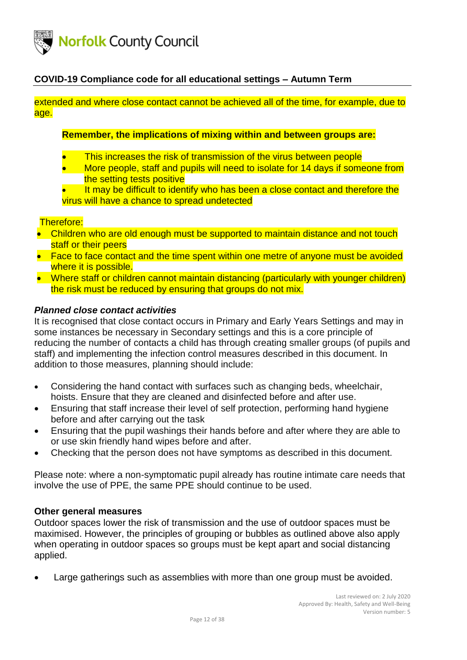

extended and where close contact cannot be achieved all of the time, for example, due to age.

### **Remember, the implications of mixing within and between groups are:**

- This increases the risk of transmission of the virus between people
- More people, staff and pupils will need to isolate for 14 days if someone from the setting tests positive
- It may be difficult to identify who has been a close contact and therefore the virus will have a chance to spread undetected

#### Therefore:

- Children who are old enough must be supported to maintain distance and not touch staff or their peers
- Face to face contact and the time spent within one metre of anyone must be avoided where it is possible.
- Where staff or children cannot maintain distancing (particularly with younger children) the risk must be reduced by ensuring that groups do not mix.

#### *Planned close contact activities*

It is recognised that close contact occurs in Primary and Early Years Settings and may in some instances be necessary in Secondary settings and this is a core principle of reducing the number of contacts a child has through creating smaller groups (of pupils and staff) and implementing the infection control measures described in this document. In addition to those measures, planning should include:

- Considering the hand contact with surfaces such as changing beds, wheelchair, hoists. Ensure that they are cleaned and disinfected before and after use.
- Ensuring that staff increase their level of self protection, performing hand hygiene before and after carrying out the task
- Ensuring that the pupil washings their hands before and after where they are able to or use skin friendly hand wipes before and after.
- Checking that the person does not have symptoms as described in this document.

Please note: where a non-symptomatic pupil already has routine intimate care needs that involve the use of PPE, the same PPE should continue to be used.

### <span id="page-11-0"></span>**Other general measures**

Outdoor spaces lower the risk of transmission and the use of outdoor spaces must be maximised. However, the principles of grouping or bubbles as outlined above also apply when operating in outdoor spaces so groups must be kept apart and social distancing applied.

Large gatherings such as assemblies with more than one group must be avoided.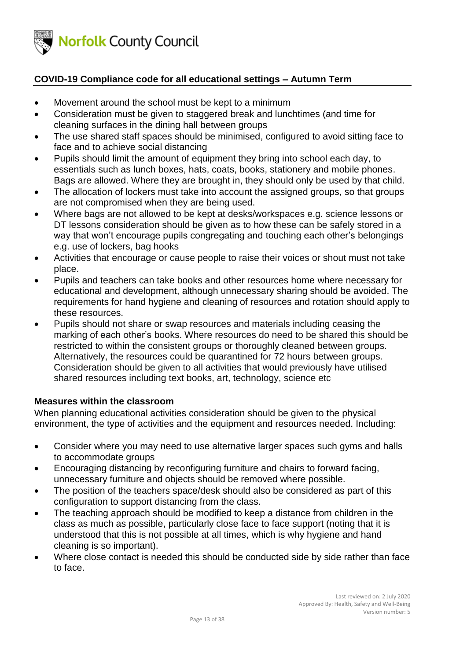

- Movement around the school must be kept to a minimum
- Consideration must be given to staggered break and lunchtimes (and time for cleaning surfaces in the dining hall between groups
- The use shared staff spaces should be minimised, configured to avoid sitting face to face and to achieve social distancing
- Pupils should limit the amount of equipment they bring into school each day, to essentials such as lunch boxes, hats, coats, books, stationery and mobile phones. Bags are allowed. Where they are brought in, they should only be used by that child.
- The allocation of lockers must take into account the assigned groups, so that groups are not compromised when they are being used.
- Where bags are not allowed to be kept at desks/workspaces e.g. science lessons or DT lessons consideration should be given as to how these can be safely stored in a way that won't encourage pupils congregating and touching each other's belongings e.g. use of lockers, bag hooks
- Activities that encourage or cause people to raise their voices or shout must not take place.
- Pupils and teachers can take books and other resources home where necessary for educational and development, although unnecessary sharing should be avoided. The requirements for hand hygiene and cleaning of resources and rotation should apply to these resources.
- Pupils should not share or swap resources and materials including ceasing the marking of each other's books. Where resources do need to be shared this should be restricted to within the consistent groups or thoroughly cleaned between groups. Alternatively, the resources could be quarantined for 72 hours between groups. Consideration should be given to all activities that would previously have utilised shared resources including text books, art, technology, science etc

### <span id="page-12-0"></span>**Measures within the classroom**

When planning educational activities consideration should be given to the physical environment, the type of activities and the equipment and resources needed. Including:

- Consider where you may need to use alternative larger spaces such gyms and halls to accommodate groups
- Encouraging distancing by reconfiguring furniture and chairs to forward facing, unnecessary furniture and objects should be removed where possible.
- The position of the teachers space/desk should also be considered as part of this configuration to support distancing from the class.
- The teaching approach should be modified to keep a distance from children in the class as much as possible, particularly close face to face support (noting that it is understood that this is not possible at all times, which is why hygiene and hand cleaning is so important).
- Where close contact is needed this should be conducted side by side rather than face to face.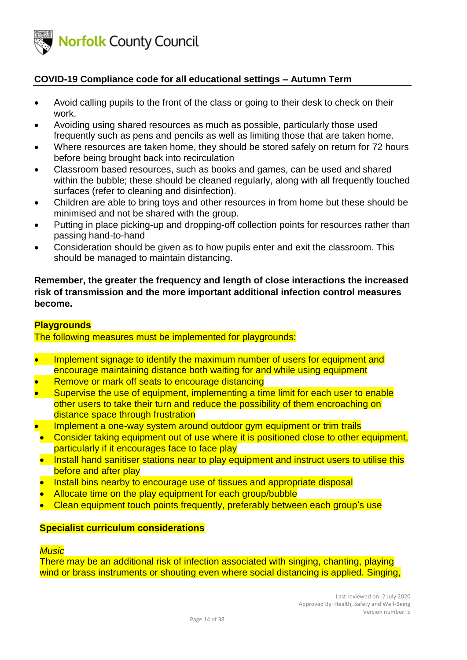

- Avoid calling pupils to the front of the class or going to their desk to check on their work.
- Avoiding using shared resources as much as possible, particularly those used frequently such as pens and pencils as well as limiting those that are taken home.
- Where resources are taken home, they should be stored safely on return for 72 hours before being brought back into recirculation
- Classroom based resources, such as books and games, can be used and shared within the bubble; these should be cleaned regularly, along with all frequently touched surfaces (refer to cleaning and disinfection).
- Children are able to bring toys and other resources in from home but these should be minimised and not be shared with the group.
- Putting in place picking-up and dropping-off collection points for resources rather than passing hand-to-hand
- Consideration should be given as to how pupils enter and exit the classroom. This should be managed to maintain distancing.

**Remember, the greater the frequency and length of close interactions the increased risk of transmission and the more important additional infection control measures become.**

### <span id="page-13-0"></span>**Playgrounds**

The following measures must be implemented for playgrounds:

- Implement signage to identify the maximum number of users for equipment and encourage maintaining distance both waiting for and while using equipment
- Remove or mark off seats to encourage distancing
- Supervise the use of equipment, implementing a time limit for each user to enable other users to take their turn and reduce the possibility of them encroaching on distance space through frustration
- Implement a one-way system around outdoor gym equipment or trim trails
- Consider taking equipment out of use where it is positioned close to other equipment, particularly if it encourages face to face play
- Install hand sanitiser stations near to play equipment and instruct users to utilise this before and after play
- Install bins nearby to encourage use of tissues and appropriate disposal
- Allocate time on the play equipment for each group/bubble
- Clean equipment touch points frequently, preferably between each group's use

#### <span id="page-13-1"></span>**Specialist curriculum considerations**

#### <span id="page-13-2"></span>*Music*

There may be an additional risk of infection associated with singing, chanting, playing wind or brass instruments or shouting even where social distancing is applied. Singing,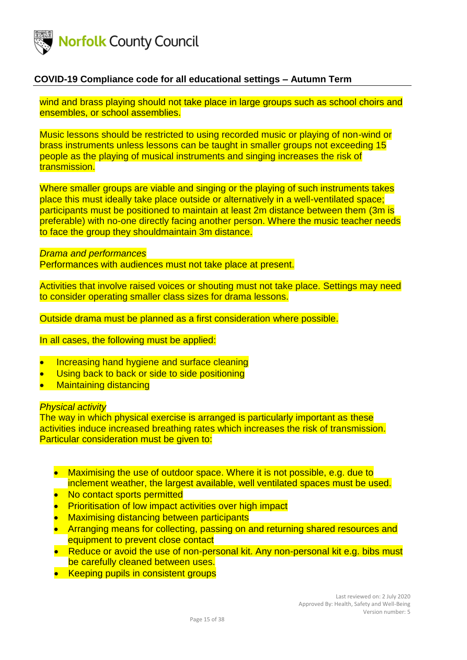

wind and brass playing should not take place in large groups such as school choirs and ensembles, or school assemblies.

Music lessons should be restricted to using recorded music or playing of non-wind or brass instruments unless lessons can be taught in smaller groups not exceeding 15 people as the playing of musical instruments and singing increases the risk of transmission.

Where smaller groups are viable and singing or the playing of such instruments takes place this must ideally take place outside or alternatively in a well-ventilated space; participants must be positioned to maintain at least 2m distance between them (3m is preferable) with no-one directly facing another person. Where the music teacher needs to face the group they shouldmaintain 3m distance.

<span id="page-14-1"></span><span id="page-14-0"></span>*Drama and performances* Performances with audiences must not take place at present.

Activities that involve raised voices or shouting must not take place. Settings may need to consider operating smaller class sizes for drama lessons.

Outside drama must be planned as a first consideration where possible.

In all cases, the following must be applied:

- Increasing hand hygiene and surface cleaning
- Using back to back or side to side positioning
- Maintaining distancing

#### <span id="page-14-2"></span>*Physical activity*

The way in which physical exercise is arranged is particularly important as these activities induce increased breathing rates which increases the risk of transmission. Particular consideration must be given to:

- Maximising the use of outdoor space. Where it is not possible, e.g. due to inclement weather, the largest available, well ventilated spaces must be used.
- No contact sports permitted
- **Prioritisation of low impact activities over high impact**
- Maximising distancing between participants
- Arranging means for collecting, passing on and returning shared resources and equipment to prevent close contact
- Reduce or avoid the use of non-personal kit. Any non-personal kit e.g. bibs must be carefully cleaned between uses.
- Keeping pupils in consistent groups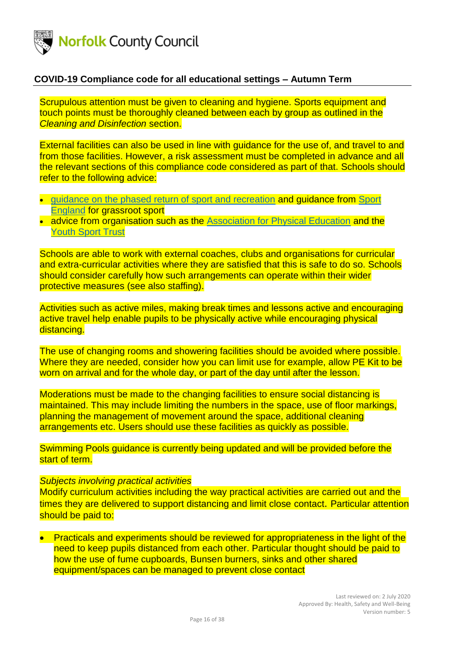

Scrupulous attention must be given to cleaning and hygiene. Sports equipment and touch points must be thoroughly cleaned between each by group as outlined in the *Cleaning and Disinfection* section.

External facilities can also be used in line with guidance for the use of, and travel to and from those facilities. However, a risk assessment must be completed in advance and all the relevant sections of this compliance code considered as part of that. Schools should refer to the following advice:

- [guidance on the phased return of sport and recreation](https://www.gov.uk/government/publications/coronavirus-covid-19-guidance-on-phased-return-of-sport-and-recreation) and quidance from Sport [England](https://www.sportengland.org/how-we-can-help/coronavirus) for grassroot sport
- advice from organisation such as the [Association for Physical Education](https://www.afpe.org.uk/physical-education/wp-content/uploads/COVID-19-Interpreting-the-Government-Guidance-in-a-PESSPA-Context-FINAL.pdf.) and the [Youth Sport Trust](https://www.youthsporttrust.org/coronavirus-support-schools)

Schools are able to work with external coaches, clubs and organisations for curricular and extra-curricular activities where they are satisfied that this is safe to do so. Schools should consider carefully how such arrangements can operate within their wider protective measures (see also staffing).

Activities such as active miles, making break times and lessons active and encouraging active travel help enable pupils to be physically active while encouraging physical distancing.

The use of changing rooms and showering facilities should be avoided where possible. Where they are needed, consider how you can limit use for example, allow PE Kit to be worn on arrival and for the whole day, or part of the day until after the lesson.

Moderations must be made to the changing facilities to ensure social distancing is maintained. This may include limiting the numbers in the space, use of floor markings, planning the management of movement around the space, additional cleaning arrangements etc. Users should use these facilities as quickly as possible.

Swimming Pools guidance is currently being updated and will be provided before the start of term.

#### <span id="page-15-0"></span>*Subjects involving practical activities*

Modify curriculum activities including the way practical activities are carried out and the times they are delivered to support distancing and limit close contact. Particular attention should be paid to:

• Practicals and experiments should be reviewed for appropriateness in the light of the need to keep pupils distanced from each other. Particular thought should be paid to how the use of fume cupboards, Bunsen burners, sinks and other shared equipment/spaces can be managed to prevent close contact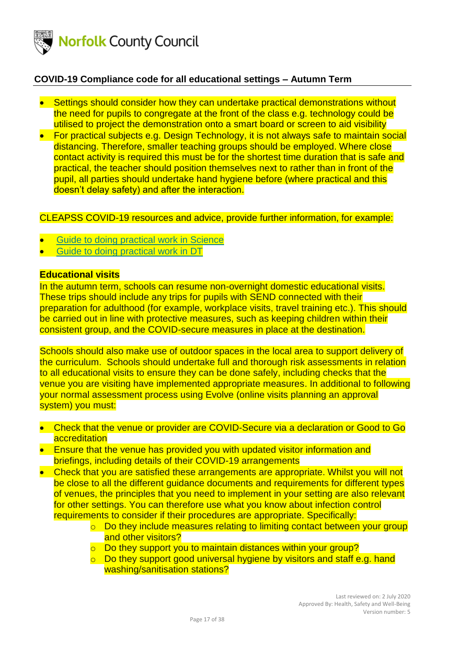

- Settings should consider how they can undertake practical demonstrations without the need for pupils to congregate at the front of the class e.g. technology could be utilised to project the demonstration onto a smart board or screen to aid visibility
- For practical subjects e.g. Design Technology, it is not always safe to maintain social distancing. Therefore, smaller teaching groups should be employed. Where close contact activity is required this must be for the shortest time duration that is safe and practical, the teacher should position themselves next to rather than in front of the pupil, all parties should undertake hand hygiene before (where practical and this doesn't delay safety) and after the interaction.

### CLEAPSS COVID-19 resources and advice, provide further information, for example:

- [Guide to doing practical work in Science](https://cleapss.us11.list-manage.com/track/click?u=a4601cd9dd7567ba7d1c8e848&id=dadeb8ddfb&e=112eac53dc)
- [Guide to doing practical work in DT](https://cleapss.us11.list-manage.com/track/click?u=a4601cd9dd7567ba7d1c8e848&id=ed3170d82c&e=112eac53dc)

#### <span id="page-16-0"></span>**Educational visits**

In the autumn term, schools can resume non-overnight domestic educational visits. These trips should include any trips for pupils with SEND connected with their preparation for adulthood (for example, workplace visits, travel training etc.). This should be carried out in line with protective measures, such as keeping children within their consistent group, and the COVID-secure measures in place at the destination.

Schools should also make use of outdoor spaces in the local area to support delivery of the curriculum. Schools should undertake full and thorough risk assessments in relation to all educational visits to ensure they can be done safely, including checks that the venue you are visiting have implemented appropriate measures. In additional to following your normal assessment process using Evolve (online visits planning an approval system) you must:

- Check that the venue or provider are COVID-Secure via a declaration or Good to Go **accreditation**
- Ensure that the venue has provided you with updated visitor information and briefings, including details of their COVID-19 arrangements
- Check that you are satisfied these arrangements are appropriate. Whilst you will not be close to all the different quidance documents and requirements for different types of venues, the principles that you need to implement in your setting are also relevant for other settings. You can therefore use what you know about infection control requirements to consider if their procedures are appropriate. Specifically:
	- o Do they include measures relating to limiting contact between your group and other visitors?
	- o Do they support you to maintain distances within your group?
	- $\circ$  Do they support good universal hygiene by visitors and staff e.g. hand washing/sanitisation stations?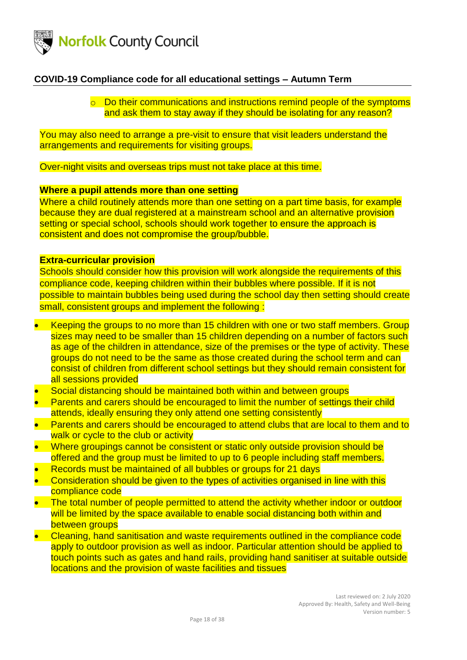

o Do their communications and instructions remind people of the symptoms and ask them to stay away if they should be isolating for any reason?

You may also need to arrange a pre-visit to ensure that visit leaders understand the arrangements and requirements for visiting groups.

Over-night visits and overseas trips must not take place at this time.

### <span id="page-17-0"></span>**Where a pupil attends more than one setting**

Where a child routinely attends more than one setting on a part time basis, for example because they are dual registered at a mainstream school and an alternative provision setting or special school, schools should work together to ensure the approach is consistent and does not compromise the group/bubble.

#### <span id="page-17-1"></span>**Extra-curricular provision**

Schools should consider how this provision will work alongside the requirements of this compliance code, keeping children within their bubbles where possible. If it is not possible to maintain bubbles being used during the school day then setting should create small, consistent groups and implement the following:

- Keeping the groups to no more than 15 children with one or two staff members. Group sizes may need to be smaller than 15 children depending on a number of factors such as age of the children in attendance, size of the premises or the type of activity. These groups do not need to be the same as those created during the school term and can consist of children from different school settings but they should remain consistent for all sessions provided
- Social distancing should be maintained both within and between groups
- Parents and carers should be encouraged to limit the number of settings their child attends, ideally ensuring they only attend one setting consistently
- Parents and carers should be encouraged to attend clubs that are local to them and to walk or cycle to the club or activity
- Where groupings cannot be consistent or static only outside provision should be offered and the group must be limited to up to 6 people including staff members.
- Records must be maintained of all bubbles or groups for 21 days
- Consideration should be given to the types of activities organised in line with this compliance code
- The total number of people permitted to attend the activity whether indoor or outdoor will be limited by the space available to enable social distancing both within and between groups
- Cleaning, hand sanitisation and waste requirements outlined in the compliance code apply to outdoor provision as well as indoor. Particular attention should be applied to touch points such as gates and hand rails, providing hand sanitiser at suitable outside locations and the provision of waste facilities and tissues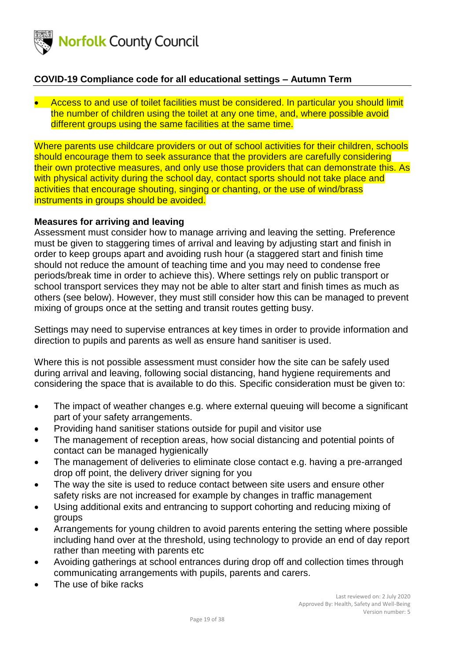

• Access to and use of toilet facilities must be considered. In particular you should limit the number of children using the toilet at any one time, and, where possible avoid different groups using the same facilities at the same time.

Where parents use childcare providers or out of school activities for their children, schools should encourage them to seek assurance that the providers are carefully considering their own protective measures, and only use those providers that can demonstrate this. As with physical activity during the school day, contact sports should not take place and activities that encourage shouting, singing or chanting, or the use of wind/brass instruments in groups should be avoided.

### <span id="page-18-0"></span>**Measures for arriving and leaving**

Assessment must consider how to manage arriving and leaving the setting. Preference must be given to staggering times of arrival and leaving by adjusting start and finish in order to keep groups apart and avoiding rush hour (a staggered start and finish time should not reduce the amount of teaching time and you may need to condense free periods/break time in order to achieve this). Where settings rely on public transport or school transport services they may not be able to alter start and finish times as much as others (see below). However, they must still consider how this can be managed to prevent mixing of groups once at the setting and transit routes getting busy.

Settings may need to supervise entrances at key times in order to provide information and direction to pupils and parents as well as ensure hand sanitiser is used.

Where this is not possible assessment must consider how the site can be safely used during arrival and leaving, following social distancing, hand hygiene requirements and considering the space that is available to do this. Specific consideration must be given to:

- The impact of weather changes e.g. where external queuing will become a significant part of your safety arrangements.
- Providing hand sanitiser stations outside for pupil and visitor use
- The management of reception areas, how social distancing and potential points of contact can be managed hygienically
- The management of deliveries to eliminate close contact e.g. having a pre-arranged drop off point, the delivery driver signing for you
- The way the site is used to reduce contact between site users and ensure other safety risks are not increased for example by changes in traffic management
- Using additional exits and entrancing to support cohorting and reducing mixing of groups
- Arrangements for young children to avoid parents entering the setting where possible including hand over at the threshold, using technology to provide an end of day report rather than meeting with parents etc
- Avoiding gatherings at school entrances during drop off and collection times through communicating arrangements with pupils, parents and carers.
- The use of bike racks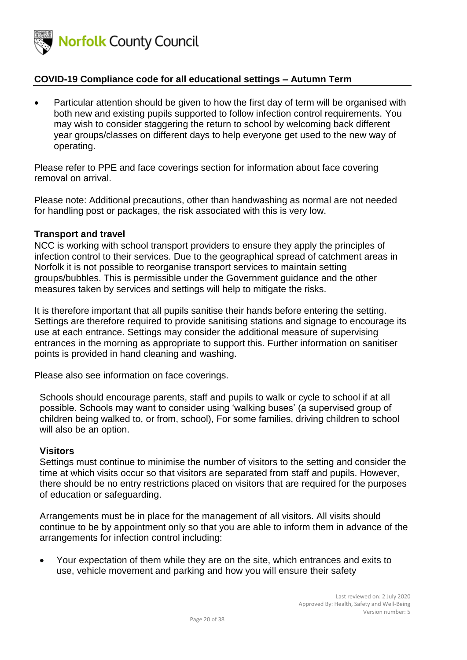

• Particular attention should be given to how the first day of term will be organised with both new and existing pupils supported to follow infection control requirements. You may wish to consider staggering the return to school by welcoming back different year groups/classes on different days to help everyone get used to the new way of operating.

Please refer to PPE and face coverings section for information about face covering removal on arrival.

Please note: Additional precautions, other than handwashing as normal are not needed for handling post or packages, the risk associated with this is very low.

#### <span id="page-19-0"></span>**Transport and travel**

NCC is working with school transport providers to ensure they apply the principles of infection control to their services. Due to the geographical spread of catchment areas in Norfolk it is not possible to reorganise transport services to maintain setting groups/bubbles. This is permissible under the Government guidance and the other measures taken by services and settings will help to mitigate the risks.

It is therefore important that all pupils sanitise their hands before entering the setting. Settings are therefore required to provide sanitising stations and signage to encourage its use at each entrance. Settings may consider the additional measure of supervising entrances in the morning as appropriate to support this. Further information on sanitiser points is provided in hand cleaning and washing.

Please also see information on face coverings.

Schools should encourage parents, staff and pupils to walk or cycle to school if at all possible. Schools may want to consider using 'walking buses' (a supervised group of children being walked to, or from, school), For some families, driving children to school will also be an option.

### <span id="page-19-1"></span>**Visitors**

Settings must continue to minimise the number of visitors to the setting and consider the time at which visits occur so that visitors are separated from staff and pupils. However, there should be no entry restrictions placed on visitors that are required for the purposes of education or safeguarding.

Arrangements must be in place for the management of all visitors. All visits should continue to be by appointment only so that you are able to inform them in advance of the arrangements for infection control including:

• Your expectation of them while they are on the site, which entrances and exits to use, vehicle movement and parking and how you will ensure their safety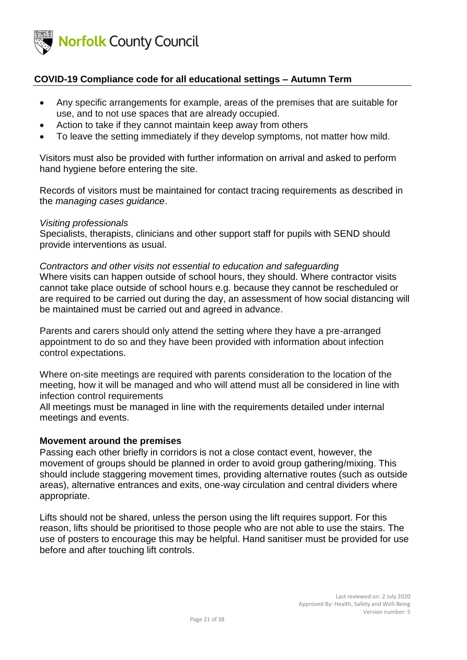<span id="page-20-1"></span>

- Any specific arrangements for example, areas of the premises that are suitable for use, and to not use spaces that are already occupied.
- Action to take if they cannot maintain keep away from others
- To leave the setting immediately if they develop symptoms, not matter how mild.

Visitors must also be provided with further information on arrival and asked to perform hand hygiene before entering the site.

Records of visitors must be maintained for contact tracing requirements as described in the *managing cases guidance*.

#### *Visiting professionals*

Specialists, therapists, clinicians and other support staff for pupils with SEND should provide interventions as usual.

#### *Contractors and other visits not essential to education and safeguarding*

Where visits can happen outside of school hours, they should. Where contractor visits cannot take place outside of school hours e.g. because they cannot be rescheduled or are required to be carried out during the day, an assessment of how social distancing will be maintained must be carried out and agreed in advance.

Parents and carers should only attend the setting where they have a pre-arranged appointment to do so and they have been provided with information about infection control expectations.

Where on-site meetings are required with parents consideration to the location of the meeting, how it will be managed and who will attend must all be considered in line with infection control requirements

All meetings must be managed in line with the requirements detailed under internal meetings and events.

#### <span id="page-20-0"></span>**Movement around the premises**

Passing each other briefly in corridors is not a close contact event, however, the movement of groups should be planned in order to avoid group gathering/mixing. This should include staggering movement times, providing alternative routes (such as outside areas), alternative entrances and exits, one-way circulation and central dividers where appropriate.

Lifts should not be shared, unless the person using the lift requires support. For this reason, lifts should be prioritised to those people who are not able to use the stairs. The use of posters to encourage this may be helpful. Hand sanitiser must be provided for use before and after touching lift controls.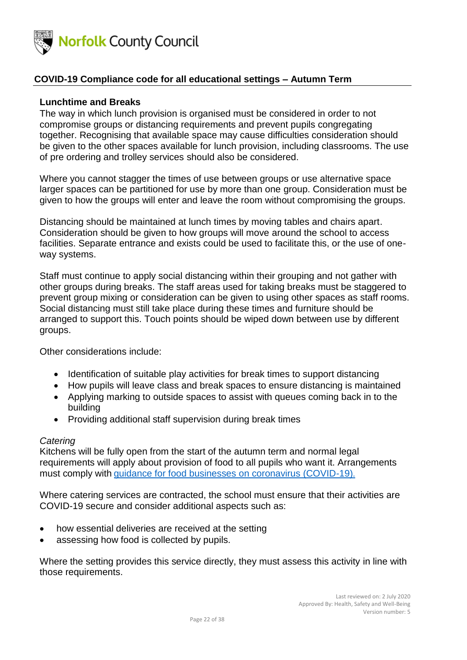<span id="page-21-0"></span>

### **Lunchtime and Breaks**

The way in which lunch provision is organised must be considered in order to not compromise groups or distancing requirements and prevent pupils congregating together. Recognising that available space may cause difficulties consideration should be given to the other spaces available for lunch provision, including classrooms. The use of pre ordering and trolley services should also be considered.

Where you cannot stagger the times of use between groups or use alternative space larger spaces can be partitioned for use by more than one group. Consideration must be given to how the groups will enter and leave the room without compromising the groups.

Distancing should be maintained at lunch times by moving tables and chairs apart. Consideration should be given to how groups will move around the school to access facilities. Separate entrance and exists could be used to facilitate this, or the use of oneway systems.

Staff must continue to apply social distancing within their grouping and not gather with other groups during breaks. The staff areas used for taking breaks must be staggered to prevent group mixing or consideration can be given to using other spaces as staff rooms. Social distancing must still take place during these times and furniture should be arranged to support this. Touch points should be wiped down between use by different groups.

Other considerations include:

- Identification of suitable play activities for break times to support distancing
- How pupils will leave class and break spaces to ensure distancing is maintained
- Applying marking to outside spaces to assist with queues coming back in to the building
- Providing additional staff supervision during break times

#### *Catering*

Kitchens will be fully open from the start of the autumn term and normal legal requirements will apply about provision of food to all pupils who want it. Arrangements must comply with [guidance for food businesses on coronavirus \(COVID-19\)](https://www.gov.uk/government/publications/covid-19-guidance-for-food-businesses/guidance-for-food-businesses-on-coronavirus-covid-19).

Where catering services are contracted, the school must ensure that their activities are COVID-19 secure and consider additional aspects such as:

- how essential deliveries are received at the setting
- assessing how food is collected by pupils.

Where the setting provides this service directly, they must assess this activity in line with those requirements.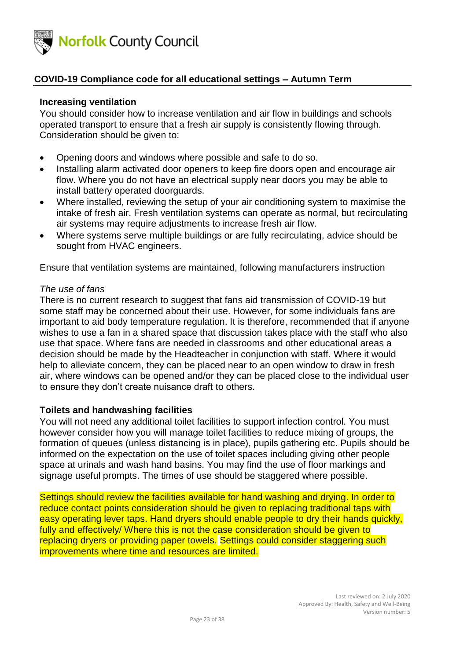<span id="page-22-1"></span>

### **Increasing ventilation**

You should consider how to increase ventilation and air flow in buildings and schools operated transport to ensure that a fresh air supply is consistently flowing through. Consideration should be given to:

- Opening doors and windows where possible and safe to do so.
- Installing alarm activated door openers to keep fire doors open and encourage air flow. Where you do not have an electrical supply near doors you may be able to install battery operated doorguards.
- Where installed, reviewing the setup of your air conditioning system to maximise the intake of fresh air. Fresh ventilation systems can operate as normal, but recirculating air systems may require adjustments to increase fresh air flow.
- Where systems serve multiple buildings or are fully recirculating, advice should be sought from HVAC engineers.

Ensure that ventilation systems are maintained, following manufacturers instruction

#### *The use of fans*

There is no current research to suggest that fans aid transmission of COVID-19 but some staff may be concerned about their use. However, for some individuals fans are important to aid body temperature regulation. It is therefore, recommended that if anyone wishes to use a fan in a shared space that discussion takes place with the staff who also use that space. Where fans are needed in classrooms and other educational areas a decision should be made by the Headteacher in conjunction with staff. Where it would help to alleviate concern, they can be placed near to an open window to draw in fresh air, where windows can be opened and/or they can be placed close to the individual user to ensure they don't create nuisance draft to others.

### <span id="page-22-0"></span>**Toilets and handwashing facilities**

You will not need any additional toilet facilities to support infection control. You must however consider how you will manage toilet facilities to reduce mixing of groups, the formation of queues (unless distancing is in place), pupils gathering etc. Pupils should be informed on the expectation on the use of toilet spaces including giving other people space at urinals and wash hand basins. You may find the use of floor markings and signage useful prompts. The times of use should be staggered where possible.

Settings should review the facilities available for hand washing and drying. In order to reduce contact points consideration should be given to replacing traditional taps with easy operating lever taps. Hand dryers should enable people to dry their hands quickly, fully and effectively/ Where this is not the case consideration should be given to replacing dryers or providing paper towels. Settings could consider staggering such improvements where time and resources are limited.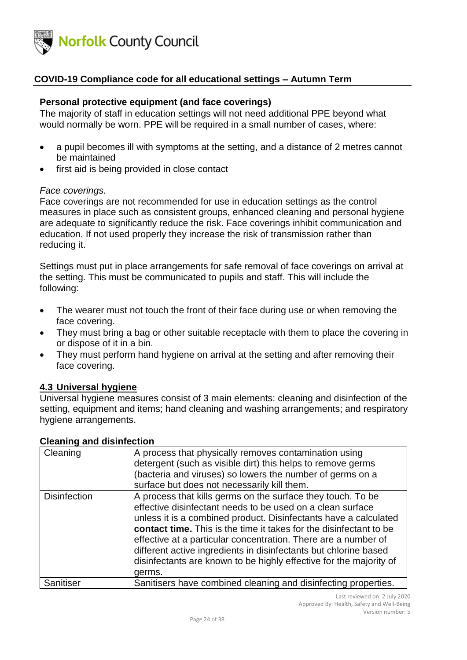

#### **Personal protective equipment (and face coverings)**

The majority of staff in education settings will not need additional PPE beyond what would normally be worn. PPE will be required in a small number of cases, where:

- a pupil becomes ill with symptoms at the setting, and a distance of 2 metres cannot be maintained
- first aid is being provided in close contact

#### *Face coverings.*

Face coverings are not recommended for use in education settings as the control measures in place such as consistent groups, enhanced cleaning and personal hygiene are adequate to significantly reduce the risk. Face coverings inhibit communication and education. If not used properly they increase the risk of transmission rather than reducing it.

Settings must put in place arrangements for safe removal of face coverings on arrival at the setting. This must be communicated to pupils and staff. This will include the following:

- The wearer must not touch the front of their face during use or when removing the face covering.
- They must bring a bag or other suitable receptacle with them to place the covering in or dispose of it in a bin.
- They must perform hand hygiene on arrival at the setting and after removing their face covering.

#### <span id="page-23-0"></span>**4.3 Universal hygiene**

Universal hygiene measures consist of 3 main elements: cleaning and disinfection of the setting, equipment and items; hand cleaning and washing arrangements; and respiratory hygiene arrangements.

#### <span id="page-23-1"></span>**Cleaning and disinfection**

| Cleaning            | A process that physically removes contamination using<br>detergent (such as visible dirt) this helps to remove germs<br>(bacteria and viruses) so lowers the number of germs on a<br>surface but does not necessarily kill them.                                                                                                                                                                                                                                                          |
|---------------------|-------------------------------------------------------------------------------------------------------------------------------------------------------------------------------------------------------------------------------------------------------------------------------------------------------------------------------------------------------------------------------------------------------------------------------------------------------------------------------------------|
| <b>Disinfection</b> | A process that kills germs on the surface they touch. To be<br>effective disinfectant needs to be used on a clean surface<br>unless it is a combined product. Disinfectants have a calculated<br>contact time. This is the time it takes for the disinfectant to be<br>effective at a particular concentration. There are a number of<br>different active ingredients in disinfectants but chlorine based<br>disinfectants are known to be highly effective for the majority of<br>germs. |
| Sanitiser           | Sanitisers have combined cleaning and disinfecting properties.                                                                                                                                                                                                                                                                                                                                                                                                                            |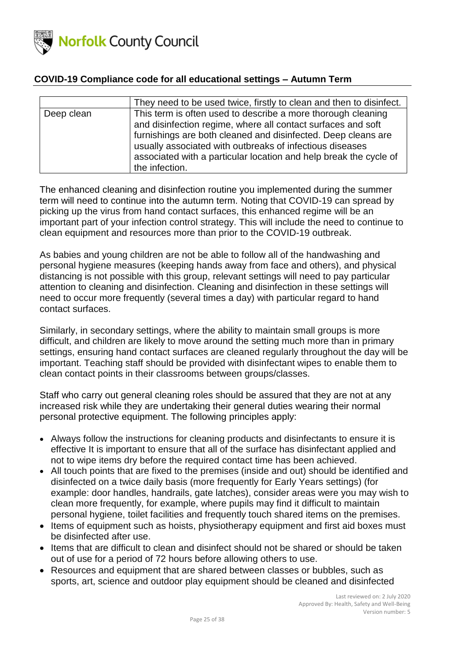

|            | They need to be used twice, firstly to clean and then to disinfect.                                                                                                                                                                                                                                                                              |
|------------|--------------------------------------------------------------------------------------------------------------------------------------------------------------------------------------------------------------------------------------------------------------------------------------------------------------------------------------------------|
| Deep clean | This term is often used to describe a more thorough cleaning<br>and disinfection regime, where all contact surfaces and soft<br>furnishings are both cleaned and disinfected. Deep cleans are<br>usually associated with outbreaks of infectious diseases<br>associated with a particular location and help break the cycle of<br>the infection. |

The enhanced cleaning and disinfection routine you implemented during the summer term will need to continue into the autumn term. Noting that COVID-19 can spread by picking up the virus from hand contact surfaces, this enhanced regime will be an important part of your infection control strategy. This will include the need to continue to clean equipment and resources more than prior to the COVID-19 outbreak.

As babies and young children are not be able to follow all of the handwashing and personal hygiene measures (keeping hands away from face and others), and physical distancing is not possible with this group, relevant settings will need to pay particular attention to cleaning and disinfection. Cleaning and disinfection in these settings will need to occur more frequently (several times a day) with particular regard to hand contact surfaces.

Similarly, in secondary settings, where the ability to maintain small groups is more difficult, and children are likely to move around the setting much more than in primary settings, ensuring hand contact surfaces are cleaned regularly throughout the day will be important. Teaching staff should be provided with disinfectant wipes to enable them to clean contact points in their classrooms between groups/classes.

Staff who carry out general cleaning roles should be assured that they are not at any increased risk while they are undertaking their general duties wearing their normal personal protective equipment. The following principles apply:

- Always follow the instructions for cleaning products and disinfectants to ensure it is effective It is important to ensure that all of the surface has disinfectant applied and not to wipe items dry before the required contact time has been achieved.
- All touch points that are fixed to the premises (inside and out) should be identified and disinfected on a twice daily basis (more frequently for Early Years settings) (for example: door handles, handrails, gate latches), consider areas were you may wish to clean more frequently, for example, where pupils may find it difficult to maintain personal hygiene, toilet facilities and frequently touch shared items on the premises.
- Items of equipment such as hoists, physiotherapy equipment and first aid boxes must be disinfected after use.
- Items that are difficult to clean and disinfect should not be shared or should be taken out of use for a period of 72 hours before allowing others to use.
- Resources and equipment that are shared between classes or bubbles, such as sports, art, science and outdoor play equipment should be cleaned and disinfected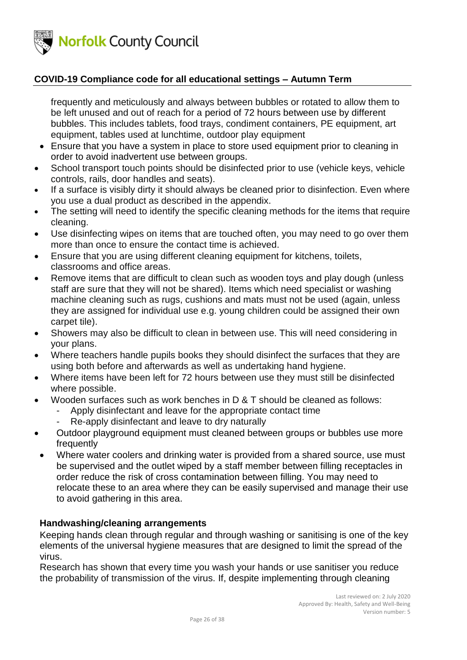

frequently and meticulously and always between bubbles or rotated to allow them to be left unused and out of reach for a period of 72 hours between use by different bubbles. This includes tablets, food trays, condiment containers, PE equipment, art equipment, tables used at lunchtime, outdoor play equipment

- Ensure that you have a system in place to store used equipment prior to cleaning in order to avoid inadvertent use between groups.
- School transport touch points should be disinfected prior to use (vehicle keys, vehicle controls, rails, door handles and seats).
- If a surface is visibly dirty it should always be cleaned prior to disinfection. Even where you use a dual product as described in the appendix.
- The setting will need to identify the specific cleaning methods for the items that require cleaning.
- Use disinfecting wipes on items that are touched often, you may need to go over them more than once to ensure the contact time is achieved.
- Ensure that you are using different cleaning equipment for kitchens, toilets, classrooms and office areas.
- Remove items that are difficult to clean such as wooden toys and play dough (unless staff are sure that they will not be shared). Items which need specialist or washing machine cleaning such as rugs, cushions and mats must not be used (again, unless they are assigned for individual use e.g. young children could be assigned their own carpet tile).
- Showers may also be difficult to clean in between use. This will need considering in your plans.
- Where teachers handle pupils books they should disinfect the surfaces that they are using both before and afterwards as well as undertaking hand hygiene.
- Where items have been left for 72 hours between use they must still be disinfected where possible.
- Wooden surfaces such as work benches in D & T should be cleaned as follows:
	- Apply disinfectant and leave for the appropriate contact time
		- Re-apply disinfectant and leave to dry naturally
- Outdoor playground equipment must cleaned between groups or bubbles use more frequently
- Where water coolers and drinking water is provided from a shared source, use must be supervised and the outlet wiped by a staff member between filling receptacles in order reduce the risk of cross contamination between filling. You may need to relocate these to an area where they can be easily supervised and manage their use to avoid gathering in this area.

### <span id="page-25-0"></span>**Handwashing/cleaning arrangements**

Keeping hands clean through regular and through washing or sanitising is one of the key elements of the universal hygiene measures that are designed to limit the spread of the virus.

Research has shown that every time you wash your hands or use sanitiser you reduce the probability of transmission of the virus. If, despite implementing through cleaning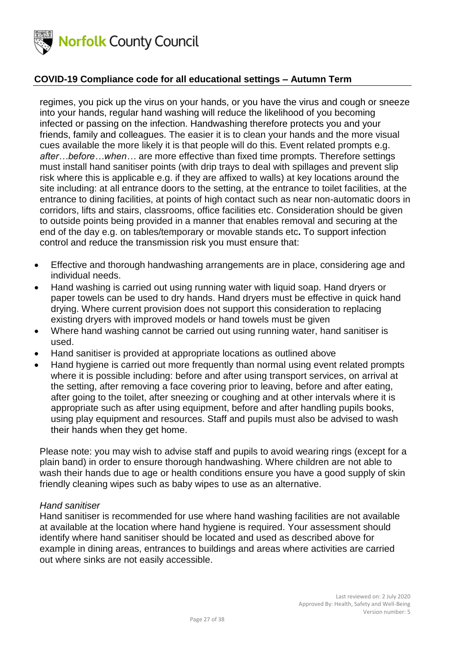

regimes, you pick up the virus on your hands, or you have the virus and cough or sneeze into your hands, regular hand washing will reduce the likelihood of you becoming infected or passing on the infection. Handwashing therefore protects you and your friends, family and colleagues. The easier it is to clean your hands and the more visual cues available the more likely it is that people will do this. Event related prompts e.g. *after…before…when…* are more effective than fixed time prompts. Therefore settings must install hand sanitiser points (with drip trays to deal with spillages and prevent slip risk where this is applicable e.g. if they are affixed to walls) at key locations around the site including: at all entrance doors to the setting, at the entrance to toilet facilities, at the entrance to dining facilities, at points of high contact such as near non-automatic doors in corridors, lifts and stairs, classrooms, office facilities etc. Consideration should be given to outside points being provided in a manner that enables removal and securing at the end of the day e.g. on tables/temporary or movable stands etc**.** To support infection control and reduce the transmission risk you must ensure that:

- Effective and thorough handwashing arrangements are in place, considering age and individual needs.
- Hand washing is carried out using running water with liquid soap. Hand dryers or paper towels can be used to dry hands. Hand dryers must be effective in quick hand drying. Where current provision does not support this consideration to replacing existing dryers with improved models or hand towels must be given
- Where hand washing cannot be carried out using running water, hand sanitiser is used.
- Hand sanitiser is provided at appropriate locations as outlined above
- Hand hygiene is carried out more frequently than normal using event related prompts where it is possible including: before and after using transport services, on arrival at the setting, after removing a face covering prior to leaving, before and after eating, after going to the toilet, after sneezing or coughing and at other intervals where it is appropriate such as after using equipment, before and after handling pupils books, using play equipment and resources. Staff and pupils must also be advised to wash their hands when they get home.

Please note: you may wish to advise staff and pupils to avoid wearing rings (except for a plain band) in order to ensure thorough handwashing. Where children are not able to wash their hands due to age or health conditions ensure you have a good supply of skin friendly cleaning wipes such as baby wipes to use as an alternative.

#### *Hand sanitiser*

Hand sanitiser is recommended for use where hand washing facilities are not available at available at the location where hand hygiene is required. Your assessment should identify where hand sanitiser should be located and used as described above for example in dining areas, entrances to buildings and areas where activities are carried out where sinks are not easily accessible.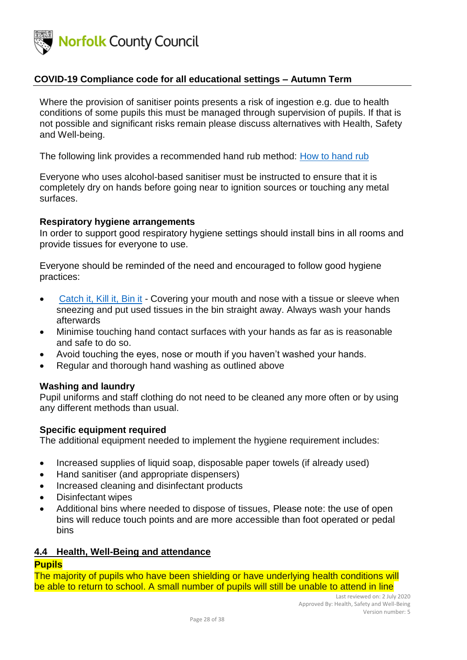

Where the provision of sanitiser points presents a risk of ingestion e.g. due to health conditions of some pupils this must be managed through supervision of pupils. If that is not possible and significant risks remain please discuss alternatives with Health, Safety and Well-being.

The following link provides a recommended hand rub method: [How to hand rub](https://assets.publishing.service.gov.uk/government/uploads/system/uploads/attachment_data/file/877529/Best_Practice_hand_rub.pdf)

Everyone who uses alcohol-based sanitiser must be instructed to ensure that it is completely dry on hands before going near to ignition sources or touching any metal surfaces.

#### <span id="page-27-0"></span>**Respiratory hygiene arrangements**

In order to support good respiratory hygiene settings should install bins in all rooms and provide tissues for everyone to use.

Everyone should be reminded of the need and encouraged to follow good hygiene practices:

- [Catch it, Kill it, Bin it](https://www.youtube.com/watch?v=JtbMgDz3GdM) Covering your mouth and nose with a tissue or sleeve when sneezing and put used tissues in the bin straight away. Always wash your hands afterwards
- Minimise touching hand contact surfaces with your hands as far as is reasonable and safe to do so.
- Avoid touching the eyes, nose or mouth if you haven't washed your hands.
- Regular and thorough hand washing as outlined above

#### <span id="page-27-1"></span>**Washing and laundry**

Pupil uniforms and staff clothing do not need to be cleaned any more often or by using any different methods than usual.

#### <span id="page-27-2"></span>**Specific equipment required**

The additional equipment needed to implement the hygiene requirement includes:

- Increased supplies of liquid soap, disposable paper towels (if already used)
- Hand sanitiser (and appropriate dispensers)
- Increased cleaning and disinfectant products
- Disinfectant wipes
- Additional bins where needed to dispose of tissues, Please note: the use of open bins will reduce touch points and are more accessible than foot operated or pedal bins

#### <span id="page-27-3"></span>**4.4 Health, Well-Being and attendance**

### <span id="page-27-4"></span>**Pupils**

The majority of pupils who have been shielding or have underlying health conditions will be able to return to school. A small number of pupils will still be unable to attend in line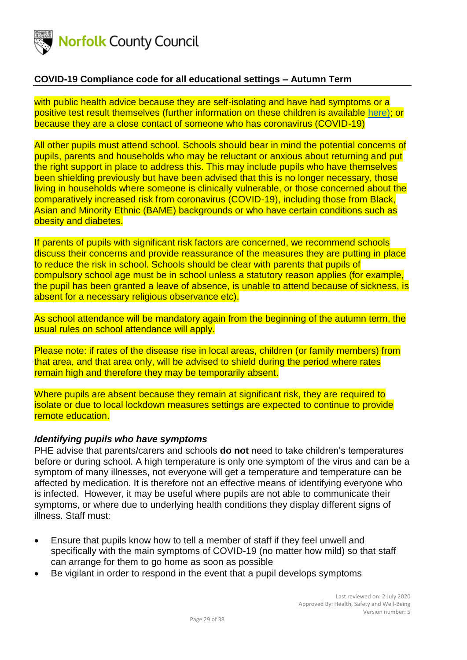

with public health advice because they are self-isolating and have had symptoms or a positive test result themselves (further information on these children is available [here\);](https://www.rcpch.ac.uk/resources/covid-19-shielding-guidance-children-young-people#children-who-should-be-advised-to-shield) or because they are a close contact of someone who has coronavirus (COVID-19)

All other pupils must attend school. Schools should bear in mind the potential concerns of pupils, parents and households who may be reluctant or anxious about returning and put the right support in place to address this. This may include pupils who have themselves been shielding previously but have been advised that this is no longer necessary, those living in households where someone is clinically vulnerable, or those concerned about the comparatively increased risk from coronavirus (COVID-19), including those from Black, Asian and Minority Ethnic (BAME) backgrounds or who have certain conditions such as obesity and diabetes.

If parents of pupils with significant risk factors are concerned, we recommend schools discuss their concerns and provide reassurance of the measures they are putting in place to reduce the risk in school. Schools should be clear with parents that pupils of compulsory school age must be in school unless a statutory reason applies (for example, the pupil has been granted a leave of absence, is unable to attend because of sickness, is absent for a necessary religious observance etc).

As school attendance will be mandatory again from the beginning of the autumn term, the usual rules on school attendance will apply.

Please note: if rates of the disease rise in local areas, children (or family members) from that area, and that area only, will be advised to shield during the period where rates remain high and therefore they may be temporarily absent.

Where pupils are absent because they remain at significant risk, they are required to isolate or due to local lockdown measures settings are expected to continue to provide remote education.

#### *Identifying pupils who have symptoms*

PHE advise that parents/carers and schools **do not** need to take children's temperatures before or during school. A high temperature is only one symptom of the virus and can be a symptom of many illnesses, not everyone will get a temperature and temperature can be affected by medication. It is therefore not an effective means of identifying everyone who is infected. However, it may be useful where pupils are not able to communicate their symptoms, or where due to underlying health conditions they display different signs of illness. Staff must:

- Ensure that pupils know how to tell a member of staff if they feel unwell and specifically with the main symptoms of COVID-19 (no matter how mild) so that staff can arrange for them to go home as soon as possible
- Be vigilant in order to respond in the event that a pupil develops symptoms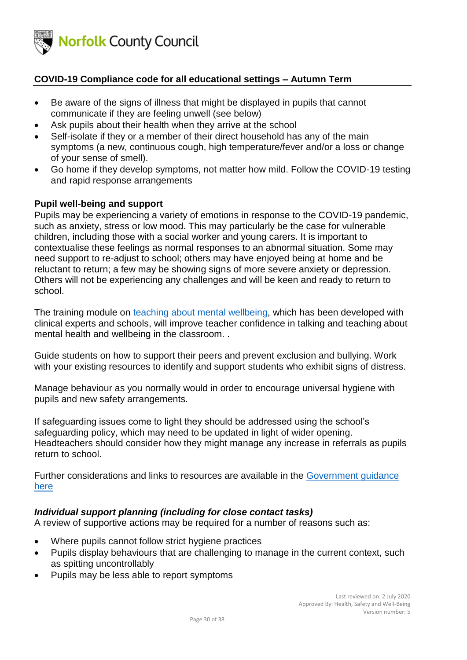

- Be aware of the signs of illness that might be displayed in pupils that cannot communicate if they are feeling unwell (see below)
- Ask pupils about their health when they arrive at the school
- Self-isolate if they or a member of their direct household has any of the main symptoms (a new, continuous cough, high temperature/fever and/or a loss or change of your sense of smell).
- Go home if they develop symptoms, not matter how mild. Follow the COVID-19 testing and rapid response arrangements

### <span id="page-29-0"></span>**Pupil well-being and support**

Pupils may be experiencing a variety of emotions in response to the COVID-19 pandemic, such as anxiety, stress or low mood. This may particularly be the case for vulnerable children, including those with a social worker and young carers. It is important to contextualise these feelings as normal responses to an abnormal situation. Some may need support to re-adjust to school; others may have enjoyed being at home and be reluctant to return; a few may be showing signs of more severe anxiety or depression. Others will not be experiencing any challenges and will be keen and ready to return to school.

The training module on [teaching about mental](https://www.gov.uk/guidance/teaching-about-mental-wellbeing) wellbeing, which has been developed with clinical experts and schools, will improve teacher confidence in talking and teaching about mental health and wellbeing in the classroom. .

Guide students on how to support their peers and prevent exclusion and bullying. Work with your existing resources to identify and support students who exhibit signs of distress.

Manage behaviour as you normally would in order to encourage universal hygiene with pupils and new safety arrangements.

If safeguarding issues come to light they should be addressed using the school's safeguarding policy, which may need to be updated in light of wider opening. Headteachers should consider how they might manage any increase in referrals as pupils return to school.

Further considerations and links to resources are available in the [Government guidance](https://www.gov.uk/government/publications/actions-for-schools-during-the-coronavirus-outbreak/guidance-for-full-opening-schools#section-1-public-health-advice-to-minimise-coronavirus-covid-19-risks)  [here](https://www.gov.uk/government/publications/actions-for-schools-during-the-coronavirus-outbreak/guidance-for-full-opening-schools#section-1-public-health-advice-to-minimise-coronavirus-covid-19-risks)

#### *Individual support planning (including for close contact tasks)*

A review of supportive actions may be required for a number of reasons such as:

- Where pupils cannot follow strict hygiene practices
- Pupils display behaviours that are challenging to manage in the current context, such as spitting uncontrollably
- Pupils may be less able to report symptoms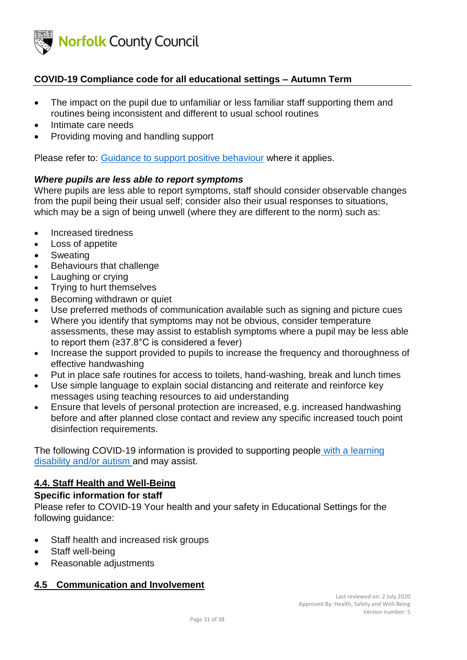

- The impact on the pupil due to unfamiliar or less familiar staff supporting them and routines being inconsistent and different to usual school routines
- Intimate care needs
- Providing moving and handling support

Please refer to: [Guidance to support positive behaviour](https://www.schools.norfolk.gov.uk/-/media/schools/files/coronavirus-related-files/pupil-related-items/guidance-for-positive-behaviour.pdf?la=en) where it applies.

#### *Where pupils are less able to report symptoms*

Where pupils are less able to report symptoms, staff should consider observable changes from the pupil being their usual self; consider also their usual responses to situations, which may be a sign of being unwell (where they are different to the norm) such as:

- Increased tiredness
- Loss of appetite
- Sweating
- Behaviours that challenge
- Laughing or crying
- Trying to hurt themselves
- Becoming withdrawn or quiet
- Use preferred methods of communication available such as signing and picture cues
- Where you identify that symptoms may not be obvious, consider temperature assessments, these may assist to establish symptoms where a pupil may be less able to report them (≥37.8°C is considered a fever)
- Increase the support provided to pupils to increase the frequency and thoroughness of effective handwashing
- Put in place safe routines for access to toilets, hand-washing, break and lunch times
- Use simple language to explain social distancing and reiterate and reinforce key messages using teaching resources to aid understanding
- Ensure that levels of personal protection are increased, e.g. increased handwashing before and after planned close contact and review any specific increased touch point disinfection requirements.

The following COVID-19 information is provided to supporting people [with a learning](https://www.england.nhs.uk/coronavirus/wp-content/uploads/sites/52/2020/03/C0031_Specialty-guide_LD-and-coronavirus-v1_-24-March.pdf)  [disability and/or autism](https://www.england.nhs.uk/coronavirus/wp-content/uploads/sites/52/2020/03/C0031_Specialty-guide_LD-and-coronavirus-v1_-24-March.pdf) and may assist.

### <span id="page-30-0"></span>**4.4. Staff Health and Well-Being**

#### <span id="page-30-1"></span>**Specific information for staff**

Please refer to COVID-19 Your health and your safety in Educational Settings for the following guidance:

- Staff health and increased risk groups
- Staff well-being
- Reasonable adjustments

### <span id="page-30-2"></span>**4.5 Communication and Involvement**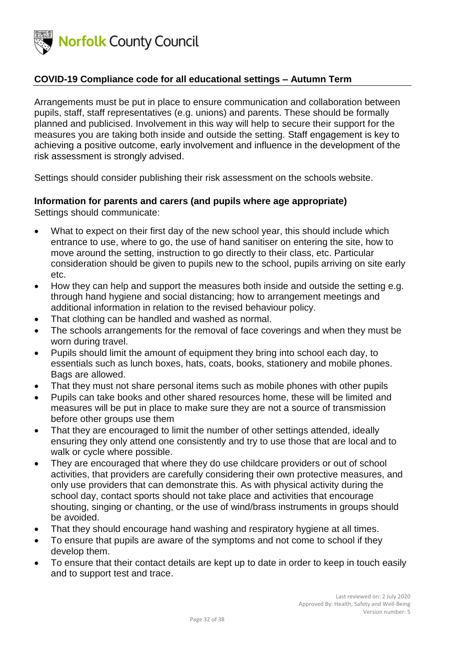

Arrangements must be put in place to ensure communication and collaboration between pupils, staff, staff representatives (e.g. unions) and parents. These should be formally planned and publicised. Involvement in this way will help to secure their support for the measures you are taking both inside and outside the setting. Staff engagement is key to achieving a positive outcome, early involvement and influence in the development of the risk assessment is strongly advised.

Settings should consider publishing their risk assessment on the schools website.

# <span id="page-31-0"></span>**Information for parents and carers (and pupils where age appropriate)**

Settings should communicate:

- What to expect on their first day of the new school year, this should include which entrance to use, where to go, the use of hand sanitiser on entering the site, how to move around the setting, instruction to go directly to their class, etc. Particular consideration should be given to pupils new to the school, pupils arriving on site early etc.
- How they can help and support the measures both inside and outside the setting e.g. through hand hygiene and social distancing; how to arrangement meetings and additional information in relation to the revised behaviour policy.
- That clothing can be handled and washed as normal.
- The schools arrangements for the removal of face coverings and when they must be worn during travel.
- Pupils should limit the amount of equipment they bring into school each day, to essentials such as lunch boxes, hats, coats, books, stationery and mobile phones. Bags are allowed.
- That they must not share personal items such as mobile phones with other pupils
- Pupils can take books and other shared resources home, these will be limited and measures will be put in place to make sure they are not a source of transmission before other groups use them
- That they are encouraged to limit the number of other settings attended, ideally ensuring they only attend one consistently and try to use those that are local and to walk or cycle where possible.
- They are encouraged that where they do use childcare providers or out of school activities, that providers are carefully considering their own protective measures, and only use providers that can demonstrate this. As with physical activity during the school day, contact sports should not take place and activities that encourage shouting, singing or chanting, or the use of wind/brass instruments in groups should be avoided.
- That they should encourage hand washing and respiratory hygiene at all times.
- To ensure that pupils are aware of the symptoms and not come to school if they develop them.
- To ensure that their contact details are kept up to date in order to keep in touch easily and to support test and trace.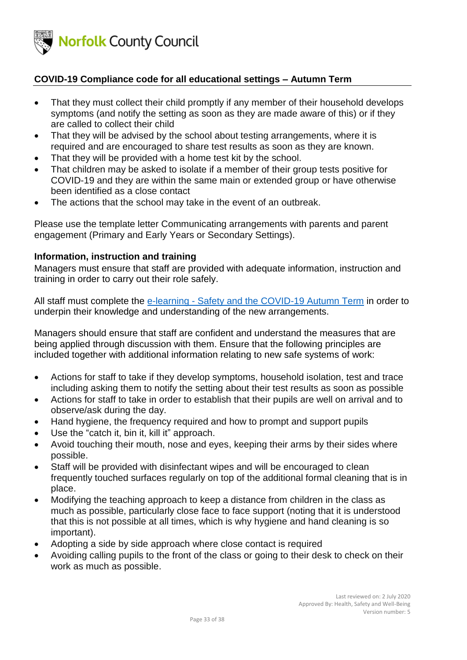

- That they must collect their child promptly if any member of their household develops symptoms (and notify the setting as soon as they are made aware of this) or if they are called to collect their child
- That they will be advised by the school about testing arrangements, where it is required and are encouraged to share test results as soon as they are known.
- That they will be provided with a home test kit by the school.
- That children may be asked to isolate if a member of their group tests positive for COVID-19 and they are within the same main or extended group or have otherwise been identified as a close contact
- The actions that the school may take in the event of an outbreak.

Please use the template letter Communicating arrangements with parents and parent engagement (Primary and Early Years or Secondary Settings).

### <span id="page-32-0"></span>**Information, instruction and training**

Managers must ensure that staff are provided with adequate information, instruction and training in order to carry out their role safely.

All staff must complete the e-learning - [Safety and the COVID-19 Autumn Term](https://csapps.norfolk.gov.uk/covid_onlinetraining/) in order to underpin their knowledge and understanding of the new arrangements.

Managers should ensure that staff are confident and understand the measures that are being applied through discussion with them. Ensure that the following principles are included together with additional information relating to new safe systems of work:

- Actions for staff to take if they develop symptoms, household isolation, test and trace including asking them to notify the setting about their test results as soon as possible
- Actions for staff to take in order to establish that their pupils are well on arrival and to observe/ask during the day.
- Hand hygiene, the frequency required and how to prompt and support pupils
- Use the "catch it, bin it, kill it" approach.
- Avoid touching their mouth, nose and eyes, keeping their arms by their sides where possible.
- Staff will be provided with disinfectant wipes and will be encouraged to clean frequently touched surfaces regularly on top of the additional formal cleaning that is in place.
- Modifying the teaching approach to keep a distance from children in the class as much as possible, particularly close face to face support (noting that it is understood that this is not possible at all times, which is why hygiene and hand cleaning is so important).
- Adopting a side by side approach where close contact is required
- Avoiding calling pupils to the front of the class or going to their desk to check on their work as much as possible.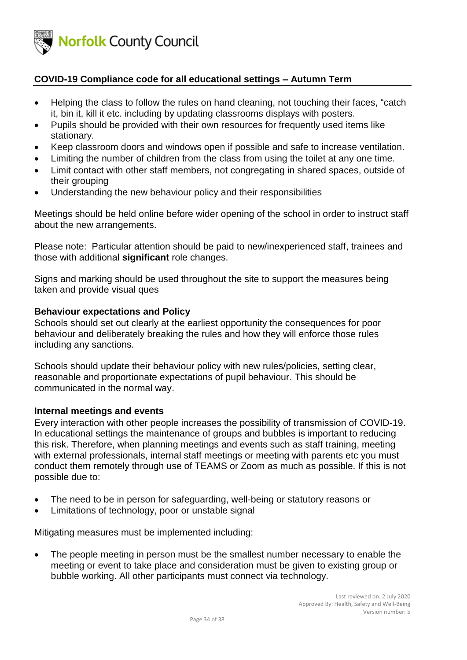

- Helping the class to follow the rules on hand cleaning, not touching their faces, "catch it, bin it, kill it etc. including by updating classrooms displays with posters.
- Pupils should be provided with their own resources for frequently used items like stationary.
- Keep classroom doors and windows open if possible and safe to increase ventilation.
- Limiting the number of children from the class from using the toilet at any one time.
- Limit contact with other staff members, not congregating in shared spaces, outside of their grouping
- Understanding the new behaviour policy and their responsibilities

Meetings should be held online before wider opening of the school in order to instruct staff about the new arrangements.

Please note: Particular attention should be paid to new/inexperienced staff, trainees and those with additional **significant** role changes.

Signs and marking should be used throughout the site to support the measures being taken and provide visual ques

### <span id="page-33-0"></span>**Behaviour expectations and Policy**

Schools should set out clearly at the earliest opportunity the consequences for poor behaviour and deliberately breaking the rules and how they will enforce those rules including any sanctions.

Schools should update their behaviour policy with new rules/policies, setting clear, reasonable and proportionate expectations of pupil behaviour. This should be communicated in the normal way.

#### <span id="page-33-1"></span>**Internal meetings and events**

Every interaction with other people increases the possibility of transmission of COVID-19. In educational settings the maintenance of groups and bubbles is important to reducing this risk. Therefore, when planning meetings and events such as staff training, meeting with external professionals, internal staff meetings or meeting with parents etc you must conduct them remotely through use of TEAMS or Zoom as much as possible. If this is not possible due to:

- The need to be in person for safeguarding, well-being or statutory reasons or
- Limitations of technology, poor or unstable signal

Mitigating measures must be implemented including:

• The people meeting in person must be the smallest number necessary to enable the meeting or event to take place and consideration must be given to existing group or bubble working. All other participants must connect via technology.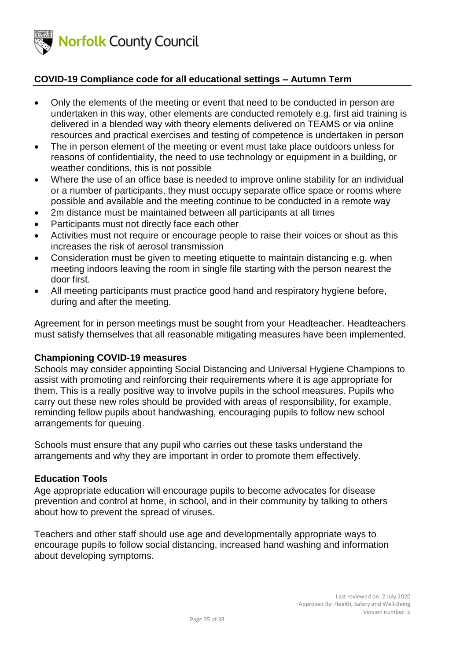

- Only the elements of the meeting or event that need to be conducted in person are undertaken in this way, other elements are conducted remotely e.g. first aid training is delivered in a blended way with theory elements delivered on TEAMS or via online resources and practical exercises and testing of competence is undertaken in person
- The in person element of the meeting or event must take place outdoors unless for reasons of confidentiality, the need to use technology or equipment in a building, or weather conditions, this is not possible
- Where the use of an office base is needed to improve online stability for an individual or a number of participants, they must occupy separate office space or rooms where possible and available and the meeting continue to be conducted in a remote way
- 2m distance must be maintained between all participants at all times
- Participants must not directly face each other
- Activities must not require or encourage people to raise their voices or shout as this increases the risk of aerosol transmission
- Consideration must be given to meeting etiquette to maintain distancing e.g. when meeting indoors leaving the room in single file starting with the person nearest the door first.
- All meeting participants must practice good hand and respiratory hygiene before, during and after the meeting.

Agreement for in person meetings must be sought from your Headteacher. Headteachers must satisfy themselves that all reasonable mitigating measures have been implemented.

### <span id="page-34-0"></span>**Championing COVID-19 measures**

Schools may consider appointing Social Distancing and Universal Hygiene Champions to assist with promoting and reinforcing their requirements where it is age appropriate for them. This is a really positive way to involve pupils in the school measures. Pupils who carry out these new roles should be provided with areas of responsibility, for example, reminding fellow pupils about handwashing, encouraging pupils to follow new school arrangements for queuing.

Schools must ensure that any pupil who carries out these tasks understand the arrangements and why they are important in order to promote them effectively.

#### <span id="page-34-1"></span>**Education Tools**

Age appropriate education will encourage pupils to become advocates for disease prevention and control at home, in school, and in their community by talking to others about how to prevent the spread of viruses.

Teachers and other staff should use age and developmentally appropriate ways to encourage pupils to follow social distancing, increased hand washing and information about developing symptoms.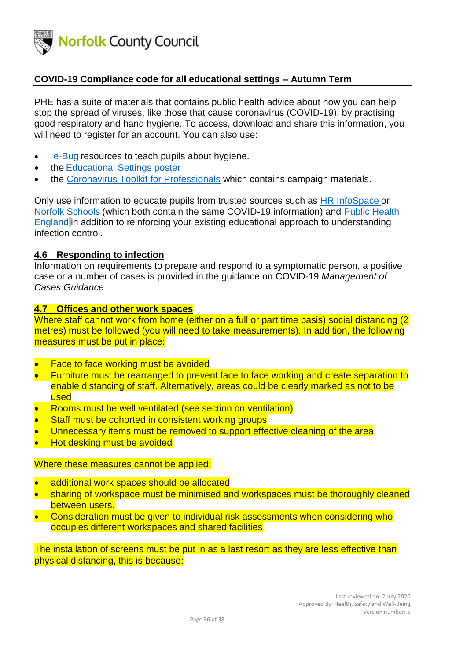

PHE has a [suite of materials](https://campaignresources.phe.gov.uk/resources/campaigns/101/resources/5016) that contains public health advice about how you can help stop the spread of viruses, like those that cause coronavirus (COVID-19), by practising good respiratory and hand hygiene. To access, download and share this information, you will need to register for an account. You can also use:

- [e-Bug](https://campaignresources.phe.gov.uk/schools) resources to teach pupils about hygiene.
- the [Educational Settings poster](https://assets.publishing.service.gov.uk/government/uploads/system/uploads/attachment_data/file/876220/COVID19_Guidance_Education.pdf)
- the [Coronavirus Toolkit for Professionals](https://www.norfolk.gov.uk/what-we-do-and-how-we-work/campaigns/coronavirus-toolkit-for-professionals) which contains campaign materials.

Only use information to educate pupils from trusted sources such as [HR InfoSpace](https://www.infospace.org.uk/hr/health-safety-and-wellbeing/) or [Norfolk Schools](https://www.schools.norfolk.gov.uk/Pupil-needs/Health/Coronavirus/index.htm) (which both contain the same COVID-19 information) and [Public Health](https://www.gov.uk/coronavirus)  [England](https://www.gov.uk/coronavirus) in addition to reinforcing your existing educational approach to understanding infection control.

#### <span id="page-35-0"></span>**4.6 Responding to infection**

Information on requirements to prepare and respond to a symptomatic person, a positive case or a number of cases is provided in the guidance on COVID-19 *Management of Cases Guidance*

## <span id="page-35-1"></span>**4.7 Offices and other work spaces**

Where staff cannot work from home (either on a full or part time basis) social distancing (2 metres) must be followed (you will need to take measurements). In addition, the following measures must be put in place:

- **Face to face working must be avoided**
- Furniture must be rearranged to prevent face to face working and create separation to enable distancing of staff. Alternatively, areas could be clearly marked as not to be used
- Rooms must be well ventilated (see section on ventilation)
- Staff must be cohorted in consistent working groups
- Unnecessary items must be removed to support effective cleaning of the area
- Hot desking must be avoided

#### Where these measures cannot be applied:

- additional work spaces should be allocated
- sharing of workspace must be minimised and workspaces must be thoroughly cleaned between users.
- Consideration must be given to individual risk assessments when considering who occupies different workspaces and shared facilities

The installation of screens must be put in as a last resort as they are less effective than physical distancing, this is because: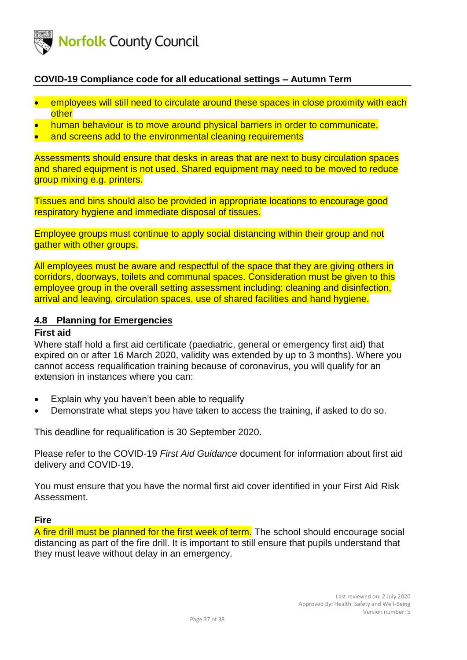

- employees will still need to circulate around these spaces in close proximity with each other
- human behaviour is to move around physical barriers in order to communicate,
- and screens add to the environmental cleaning requirements

Assessments should ensure that desks in areas that are next to busy circulation spaces and shared equipment is not used. Shared equipment may need to be moved to reduce group mixing e.g. printers.

Tissues and bins should also be provided in appropriate locations to encourage good respiratory hygiene and immediate disposal of tissues.

Employee groups must continue to apply social distancing within their group and not gather with other groups.

All employees must be aware and respectful of the space that they are giving others in corridors, doorways, toilets and communal spaces. Consideration must be given to this employee group in the overall setting assessment including: cleaning and disinfection, arrival and leaving, circulation spaces, use of shared facilities and hand hygiene.

#### <span id="page-36-0"></span>**4.8 Planning for Emergencies**

#### <span id="page-36-1"></span>**First aid**

Where staff hold a first aid certificate (paediatric, general or emergency first aid) that expired on or after 16 March 2020, validity was extended by up to 3 months). Where you cannot access requalification training because of coronavirus, you will qualify for an extension in instances where you can:

- Explain why you haven't been able to requalify
- Demonstrate what steps you have taken to access the training, if asked to do so.

This deadline for requalification is 30 September 2020.

Please refer to the COVID-19 *First Aid Guidance* document for information about first aid delivery and COVID-19.

You must ensure that you have the normal first aid cover identified in your First Aid Risk Assessment.

#### <span id="page-36-2"></span>**Fire**

A fire drill must be planned for the first week of term. The school should encourage social distancing as part of the fire drill. It is important to still ensure that pupils understand that they must leave without delay in an emergency.